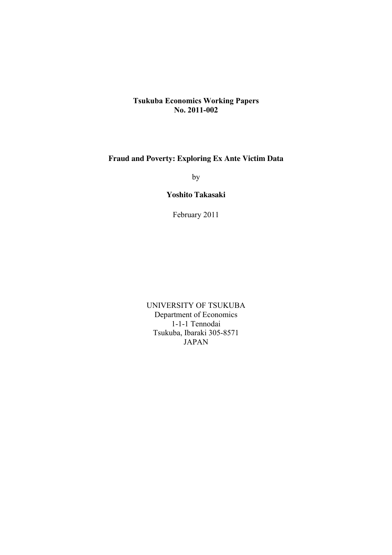# **Tsukuba Economics Working Papers No. 2011-002**

# **Fraud and Poverty: Exploring Ex Ante Victim Data**

by

# **Yoshito Takasaki**

February 2011

UNIVERSITY OF TSUKUBA Department of Economics 1-1-1 Tennodai Tsukuba, Ibaraki 305-8571 JAPAN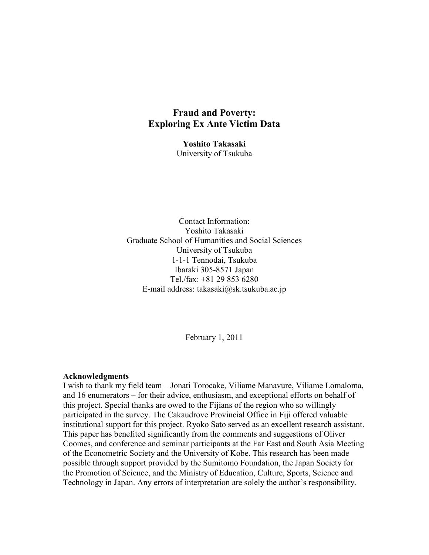# **Fraud and Poverty: Exploring Ex Ante Victim Data**

**Yoshito Takasaki** University of Tsukuba

Contact Information: Yoshito Takasaki Graduate School of Humanities and Social Sciences University of Tsukuba 1-1-1 Tennodai, Tsukuba Ibaraki 305-8571 Japan Tel./fax: +81 29 853 6280 E-mail address: takasaki@sk.tsukuba.ac.jp

February 1, 2011

#### **Acknowledgments**

I wish to thank my field team – Jonati Torocake, Viliame Manavure, Viliame Lomaloma, and 16 enumerators – for their advice, enthusiasm, and exceptional efforts on behalf of this project. Special thanks are owed to the Fijians of the region who so willingly participated in the survey. The Cakaudrove Provincial Office in Fiji offered valuable institutional support for this project. Ryoko Sato served as an excellent research assistant. This paper has benefited significantly from the comments and suggestions of Oliver Coomes, and conference and seminar participants at the Far East and South Asia Meeting of the Econometric Society and the University of Kobe. This research has been made possible through support provided by the Sumitomo Foundation, the Japan Society for the Promotion of Science, and the Ministry of Education, Culture, Sports, Science and Technology in Japan. Any errors of interpretation are solely the author's responsibility.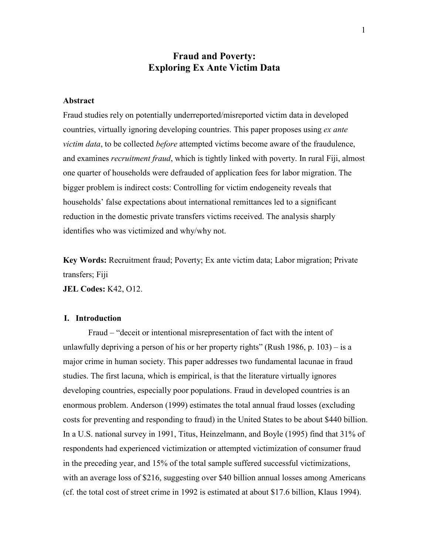# **Fraud and Poverty: Exploring Ex Ante Victim Data**

#### **Abstract**

Fraud studies rely on potentially underreported/misreported victim data in developed countries, virtually ignoring developing countries. This paper proposes using *ex ante victim data*, to be collected *before* attempted victims become aware of the fraudulence, and examines *recruitment fraud*, which is tightly linked with poverty. In rural Fiji, almost one quarter of households were defrauded of application fees for labor migration. The bigger problem is indirect costs: Controlling for victim endogeneity reveals that households' false expectations about international remittances led to a significant reduction in the domestic private transfers victims received. The analysis sharply identifies who was victimized and why/why not.

**Key Words:** Recruitment fraud; Poverty; Ex ante victim data; Labor migration; Private transfers; Fiji

**JEL Codes:** K42, O12.

#### **I. Introduction**

Fraud – "deceit or intentional misrepresentation of fact with the intent of unlawfully depriving a person of his or her property rights" (Rush 1986, p. 103) – is a major crime in human society. This paper addresses two fundamental lacunae in fraud studies. The first lacuna, which is empirical, is that the literature virtually ignores developing countries, especially poor populations. Fraud in developed countries is an enormous problem. Anderson (1999) estimates the total annual fraud losses (excluding costs for preventing and responding to fraud) in the United States to be about \$440 billion. In a U.S. national survey in 1991, Titus, Heinzelmann, and Boyle (1995) find that 31% of respondents had experienced victimization or attempted victimization of consumer fraud in the preceding year, and 15% of the total sample suffered successful victimizations, with an average loss of \$216, suggesting over \$40 billion annual losses among Americans (cf. the total cost of street crime in 1992 is estimated at about \$17.6 billion, Klaus 1994).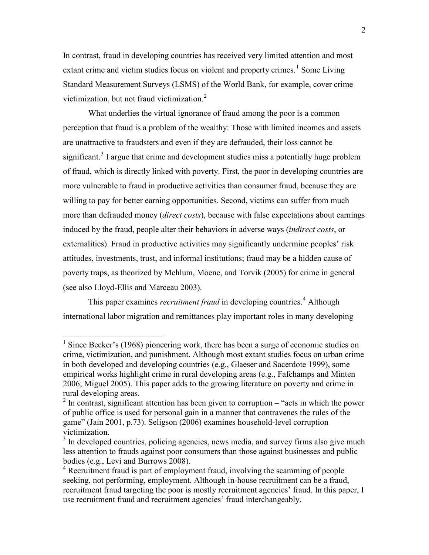In contrast, fraud in developing countries has received very limited attention and most extant crime and victim studies focus on violent and property crimes.<sup>1</sup> Some Living Standard Measurement Surveys (LSMS) of the World Bank, for example, cover crime victimization, but not fraud victimization. $2$ 

What underlies the virtual ignorance of fraud among the poor is a common perception that fraud is a problem of the wealthy: Those with limited incomes and assets are unattractive to fraudsters and even if they are defrauded, their loss cannot be significant.<sup>3</sup> I argue that crime and development studies miss a potentially huge problem of fraud, which is directly linked with poverty. First, the poor in developing countries are more vulnerable to fraud in productive activities than consumer fraud, because they are willing to pay for better earning opportunities. Second, victims can suffer from much more than defrauded money (*direct costs*), because with false expectations about earnings induced by the fraud, people alter their behaviors in adverse ways (*indirect costs*, or externalities). Fraud in productive activities may significantly undermine peoples' risk attitudes, investments, trust, and informal institutions; fraud may be a hidden cause of poverty traps, as theorized by Mehlum, Moene, and Torvik (2005) for crime in general (see also Lloyd-Ellis and Marceau 2003).

This paper examines *recruitment fraud* in developing countries. 4 Although international labor migration and remittances play important roles in many developing

<sup>&</sup>lt;sup>1</sup> Since Becker's (1968) pioneering work, there has been a surge of economic studies on crime, victimization, and punishment. Although most extant studies focus on urban crime in both developed and developing countries (e.g., Glaeser and Sacerdote 1999), some empirical works highlight crime in rural developing areas (e.g., Fafchamps and Minten 2006; Miguel 2005). This paper adds to the growing literature on poverty and crime in rural developing areas.

 $2 \text{ In contrast, significant attention has been given to corruption -- "acts in which the power.}$ of public office is used for personal gain in a manner that contravenes the rules of the game" (Jain 2001, p.73). Seligson (2006) examines household-level corruption victimization.

<sup>&</sup>lt;sup>3</sup> In developed countries, policing agencies, news media, and survey firms also give much less attention to frauds against poor consumers than those against businesses and public bodies (e.g., Levi and Burrows 2008).<br><sup>4</sup> Recruitment fraud is part of employment fraud, involving the scamming of people

seeking, not performing, employment. Although in-house recruitment can be a fraud, recruitment fraud targeting the poor is mostly recruitment agencies' fraud. In this paper, I use recruitment fraud and recruitment agencies' fraud interchangeably.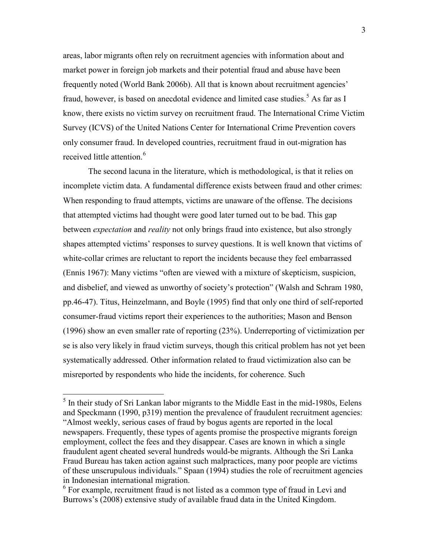areas, labor migrants often rely on recruitment agencies with information about and market power in foreign job markets and their potential fraud and abuse have been frequently noted (World Bank 2006b). All that is known about recruitment agencies' fraud, however, is based on anecdotal evidence and limited case studies.<sup>5</sup> As far as I know, there exists no victim survey on recruitment fraud. The International Crime Victim Survey (ICVS) of the United Nations Center for International Crime Prevention covers only consumer fraud. In developed countries, recruitment fraud in out-migration has received little attention. 6

The second lacuna in the literature, which is methodological, is that it relies on incomplete victim data. A fundamental difference exists between fraud and other crimes: When responding to fraud attempts, victims are unaware of the offense. The decisions that attempted victims had thought were good later turned out to be bad. This gap between *expectation* and *reality* not only brings fraud into existence, but also strongly shapes attempted victims' responses to survey questions. It is well known that victims of white-collar crimes are reluctant to report the incidents because they feel embarrassed (Ennis 1967): Many victims "often are viewed with a mixture of skepticism, suspicion, and disbelief, and viewed as unworthy of society's protection" (Walsh and Schram 1980, pp.46-47). Titus, Heinzelmann, and Boyle (1995) find that only one third of self-reported consumer-fraud victims report their experiences to the authorities; Mason and Benson (1996) show an even smaller rate of reporting (23%). Underreporting of victimization per se is also very likely in fraud victim surveys, though this critical problem has not yet been systematically addressed. Other information related to fraud victimization also can be misreported by respondents who hide the incidents, for coherence. Such

 $<sup>5</sup>$  In their study of Sri Lankan labor migrants to the Middle East in the mid-1980s, Eelens</sup> and Speckmann (1990, p319) mention the prevalence of fraudulent recruitment agencies: "Almost weekly, serious cases of fraud by bogus agents are reported in the local newspapers. Frequently, these types of agents promise the prospective migrants foreign employment, collect the fees and they disappear. Cases are known in which a single fraudulent agent cheated several hundreds would-be migrants. Although the Sri Lanka Fraud Bureau has taken action against such malpractices, many poor people are victims of these unscrupulous individuals." Spaan (1994) studies the role of recruitment agencies in Indonesian international migration.

 $6$  For example, recruitment fraud is not listed as a common type of fraud in Levi and Burrows's (2008) extensive study of available fraud data in the United Kingdom.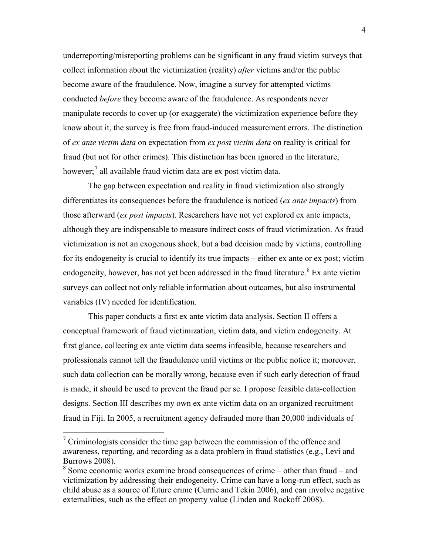underreporting/misreporting problems can be significant in any fraud victim surveys that collect information about the victimization (reality) *after* victims and/or the public become aware of the fraudulence. Now, imagine a survey for attempted victims conducted *before* they become aware of the fraudulence. As respondents never manipulate records to cover up (or exaggerate) the victimization experience before they know about it, the survey is free from fraud-induced measurement errors. The distinction of *ex ante victim data* on expectation from *ex post victim data* on reality is critical for fraud (but not for other crimes). This distinction has been ignored in the literature, however;<sup>7</sup> all available fraud victim data are ex post victim data.

The gap between expectation and reality in fraud victimization also strongly differentiates its consequences before the fraudulence is noticed (*ex ante impacts*) from those afterward (*ex post impacts*). Researchers have not yet explored ex ante impacts, although they are indispensable to measure indirect costs of fraud victimization. As fraud victimization is not an exogenous shock, but a bad decision made by victims, controlling for its endogeneity is crucial to identify its true impacts – either ex ante or ex post; victim endogeneity, however, has not yet been addressed in the fraud literature.<sup>8</sup> Ex ante victim surveys can collect not only reliable information about outcomes, but also instrumental variables (IV) needed for identification.

This paper conducts a first ex ante victim data analysis. Section II offers a conceptual framework of fraud victimization, victim data, and victim endogeneity. At first glance, collecting ex ante victim data seems infeasible, because researchers and professionals cannot tell the fraudulence until victims or the public notice it; moreover, such data collection can be morally wrong, because even if such early detection of fraud is made, it should be used to prevent the fraud per se. I propose feasible data-collection designs. Section III describes my own ex ante victim data on an organized recruitment fraud in Fiji. In 2005, a recruitment agency defrauded more than 20,000 individuals of

 $7$  Criminologists consider the time gap between the commission of the offence and awareness, reporting, and recording as a data problem in fraud statistics (e.g., Levi and Burrows 2008). <sup>8</sup> Some economic works examine broad consequences of crime – other than fraud – and

victimization by addressing their endogeneity. Crime can have a long-run effect, such as child abuse as a source of future crime (Currie and Tekin 2006), and can involve negative externalities, such as the effect on property value (Linden and Rockoff 2008).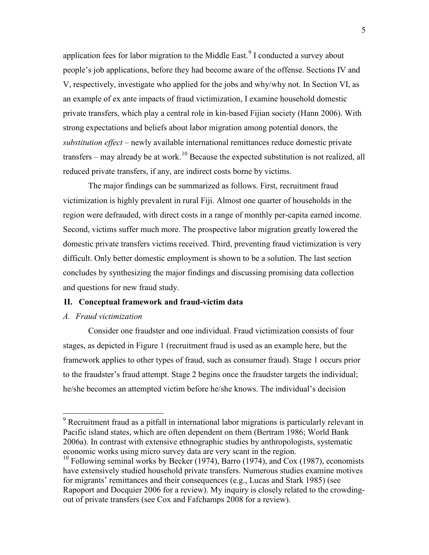application fees for labor migration to the Middle East.<sup>9</sup> I conducted a survey about people's job applications, before they had become aware of the offense. Sections IV and V, respectively, investigate who applied for the jobs and why/why not. In Section VI, as an example of ex ante impacts of fraud victimization, I examine household domestic private transfers, which play a central role in kin-based Fijian society (Hann 2006). With strong expectations and beliefs about labor migration among potential donors, the *substitution effect* – newly available international remittances reduce domestic private transfers – may already be at work.<sup>10</sup> Because the expected substitution is not realized, all reduced private transfers, if any, are indirect costs borne by victims.

The major findings can be summarized as follows. First, recruitment fraud victimization is highly prevalent in rural Fiji. Almost one quarter of households in the region were defrauded, with direct costs in a range of monthly per-capita earned income. Second, victims suffer much more. The prospective labor migration greatly lowered the domestic private transfers victims received. Third, preventing fraud victimization is very difficult. Only better domestic employment is shown to be a solution. The last section concludes by synthesizing the major findings and discussing promising data collection and questions for new fraud study.

#### **II. Conceptual framework and fraud-victim data**

#### *A. Fraud victimization*

Consider one fraudster and one individual. Fraud victimization consists of four stages, as depicted in Figure 1 (recruitment fraud is used as an example here, but the framework applies to other types of fraud, such as consumer fraud). Stage 1 occurs prior to the fraudster's fraud attempt. Stage 2 begins once the fraudster targets the individual; he/she becomes an attempted victim before he/she knows. The individual's decision

<sup>&</sup>lt;sup>9</sup> Recruitment fraud as a pitfall in international labor migrations is particularly relevant in Pacific island states, which are often dependent on them (Bertram 1986; World Bank 2006a). In contrast with extensive ethnographic studies by anthropologists, systematic economic works using micro survey data are very scant in the region.

 $10$  Following seminal works by Becker (1974), Barro (1974), and Cox (1987), economists have extensively studied household private transfers. Numerous studies examine motives for migrants' remittances and their consequences (e.g., Lucas and Stark 1985) (see Rapoport and Docquier 2006 for a review). My inquiry is closely related to the crowdingout of private transfers (see Cox and Fafchamps 2008 for a review).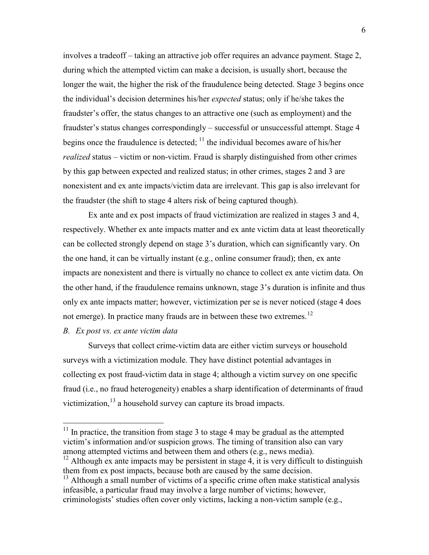involves a tradeoff – taking an attractive job offer requires an advance payment. Stage 2, during which the attempted victim can make a decision, is usually short, because the longer the wait, the higher the risk of the fraudulence being detected. Stage 3 begins once the individual's decision determines his/her *expected* status; only if he/she takes the fraudster's offer, the status changes to an attractive one (such as employment) and the fraudster's status changes correspondingly – successful or unsuccessful attempt. Stage 4 begins once the fraudulence is detected;  $<sup>11</sup>$  the individual becomes aware of his/her</sup> *realized* status – victim or non-victim. Fraud is sharply distinguished from other crimes by this gap between expected and realized status; in other crimes, stages 2 and 3 are nonexistent and ex ante impacts/victim data are irrelevant. This gap is also irrelevant for the fraudster (the shift to stage 4 alters risk of being captured though).

Ex ante and ex post impacts of fraud victimization are realized in stages 3 and 4, respectively. Whether ex ante impacts matter and ex ante victim data at least theoretically can be collected strongly depend on stage 3's duration, which can significantly vary. On the one hand, it can be virtually instant (e.g., online consumer fraud); then, ex ante impacts are nonexistent and there is virtually no chance to collect ex ante victim data. On the other hand, if the fraudulence remains unknown, stage 3's duration is infinite and thus only ex ante impacts matter; however, victimization per se is never noticed (stage 4 does not emerge). In practice many frauds are in between these two extremes.<sup>12</sup>

### *B. Ex post vs. ex ante victim data*

Surveys that collect crime-victim data are either victim surveys or household surveys with a victimization module. They have distinct potential advantages in collecting ex post fraud-victim data in stage 4; although a victim survey on one specific fraud (i.e., no fraud heterogeneity) enables a sharp identification of determinants of fraud victimization,  $^{13}$  a household survey can capture its broad impacts.

 $11$  In practice, the transition from stage 3 to stage 4 may be gradual as the attempted victim's information and/or suspicion grows. The timing of transition also can vary among attempted victims and between them and others (e.g., news media).

 $12$  Although ex ante impacts may be persistent in stage 4, it is very difficult to distinguish them from ex post impacts, because both are caused by the same decision.<br><sup>13</sup> Although a small number of victims of a specific crime often make statistical analysis

infeasible, a particular fraud may involve a large number of victims; however, criminologists' studies often cover only victims, lacking a non-victim sample (e.g.,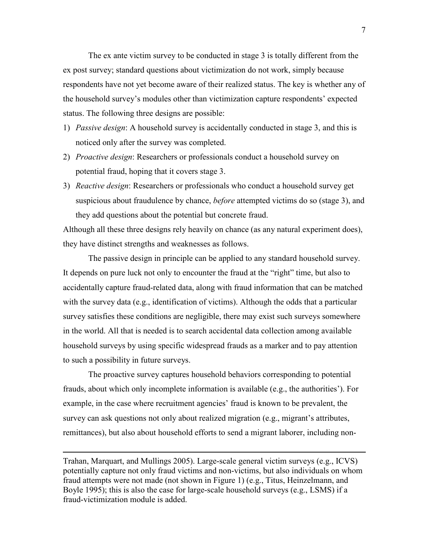The ex ante victim survey to be conducted in stage 3 is totally different from the ex post survey; standard questions about victimization do not work, simply because respondents have not yet become aware of their realized status. The key is whether any of the household survey's modules other than victimization capture respondents' expected status. The following three designs are possible:

- 1) *Passive design*: A household survey is accidentally conducted in stage 3, and this is noticed only after the survey was completed.
- 2) *Proactive design*: Researchers or professionals conduct a household survey on potential fraud, hoping that it covers stage 3.
- 3) *Reactive design*: Researchers or professionals who conduct a household survey get suspicious about fraudulence by chance, *before* attempted victims do so (stage 3), and they add questions about the potential but concrete fraud.

Although all these three designs rely heavily on chance (as any natural experiment does), they have distinct strengths and weaknesses as follows.

The passive design in principle can be applied to any standard household survey. It depends on pure luck not only to encounter the fraud at the "right" time, but also to accidentally capture fraud-related data, along with fraud information that can be matched with the survey data (e.g., identification of victims). Although the odds that a particular survey satisfies these conditions are negligible, there may exist such surveys somewhere in the world. All that is needed is to search accidental data collection among available household surveys by using specific widespread frauds as a marker and to pay attention to such a possibility in future surveys.

The proactive survey captures household behaviors corresponding to potential frauds, about which only incomplete information is available (e.g., the authorities'). For example, in the case where recruitment agencies' fraud is known to be prevalent, the survey can ask questions not only about realized migration (e.g., migrant's attributes, remittances), but also about household efforts to send a migrant laborer, including non-

Trahan, Marquart, and Mullings 2005). Large-scale general victim surveys (e.g., ICVS) potentially capture not only fraud victims and non-victims, but also individuals on whom fraud attempts were not made (not shown in Figure 1) (e.g., Titus, Heinzelmann, and Boyle 1995); this is also the case for large-scale household surveys (e.g., LSMS) if a fraud-victimization module is added.

 $\overline{a}$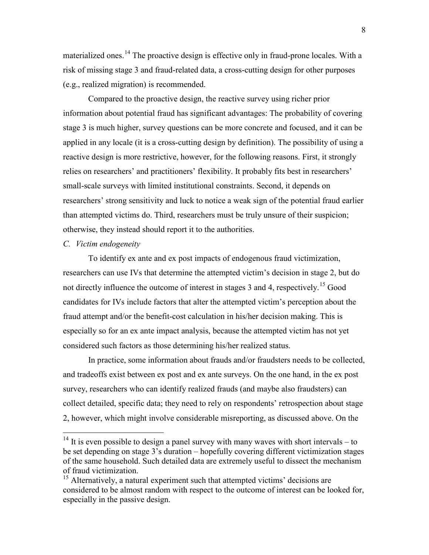materialized ones.<sup>14</sup> The proactive design is effective only in fraud-prone locales. With a risk of missing stage 3 and fraud-related data, a cross-cutting design for other purposes (e.g., realized migration) is recommended.

Compared to the proactive design, the reactive survey using richer prior information about potential fraud has significant advantages: The probability of covering stage 3 is much higher, survey questions can be more concrete and focused, and it can be applied in any locale (it is a cross-cutting design by definition). The possibility of using a reactive design is more restrictive, however, for the following reasons. First, it strongly relies on researchers' and practitioners' flexibility. It probably fits best in researchers' small-scale surveys with limited institutional constraints. Second, it depends on researchers' strong sensitivity and luck to notice a weak sign of the potential fraud earlier than attempted victims do. Third, researchers must be truly unsure of their suspicion; otherwise, they instead should report it to the authorities.

#### *C. Victim endogeneity*

To identify ex ante and ex post impacts of endogenous fraud victimization, researchers can use IVs that determine the attempted victim's decision in stage 2, but do not directly influence the outcome of interest in stages 3 and 4, respectively.<sup>15</sup> Good candidates for IVs include factors that alter the attempted victim's perception about the fraud attempt and/or the benefit-cost calculation in his/her decision making. This is especially so for an ex ante impact analysis, because the attempted victim has not yet considered such factors as those determining his/her realized status.

In practice, some information about frauds and/or fraudsters needs to be collected, and tradeoffs exist between ex post and ex ante surveys. On the one hand, in the ex post survey, researchers who can identify realized frauds (and maybe also fraudsters) can collect detailed, specific data; they need to rely on respondents' retrospection about stage 2, however, which might involve considerable misreporting, as discussed above. On the

 $14$  It is even possible to design a panel survey with many waves with short intervals – to be set depending on stage 3's duration – hopefully covering different victimization stages of the same household. Such detailed data are extremely useful to dissect the mechanism of fraud victimization.

<sup>&</sup>lt;sup>15</sup> Alternatively, a natural experiment such that attempted victims' decisions are considered to be almost random with respect to the outcome of interest can be looked for, especially in the passive design.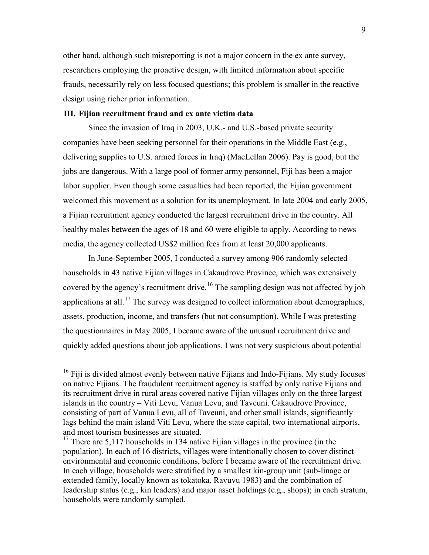other hand, although such misreporting is not a major concern in the ex ante survey, researchers employing the proactive design, with limited information about specific frauds, necessarily rely on less focused questions; this problem is smaller in the reactive design using richer prior information.

#### **III. Fijian recruitment fraud and ex ante victim data**

Since the invasion of Iraq in 2003, U.K.- and U.S.-based private security companies have been seeking personnel for their operations in the Middle East (e.g., delivering supplies to U.S. armed forces in Iraq) (MacLellan 2006). Pay is good, but the jobs are dangerous. With a large pool of former army personnel, Fiji has been a major labor supplier. Even though some casualties had been reported, the Fijian government welcomed this movement as a solution for its unemployment. In late 2004 and early 2005, a Fijian recruitment agency conducted the largest recruitment drive in the country. All healthy males between the ages of 18 and 60 were eligible to apply. According to news media, the agency collected US\$2 million fees from at least 20,000 applicants.

In June-September 2005, I conducted a survey among 906 randomly selected households in 43 native Fijian villages in Cakaudrove Province, which was extensively covered by the agency's recruitment drive.<sup>16</sup> The sampling design was not affected by job applications at all.<sup>17</sup> The survey was designed to collect information about demographics, assets, production, income, and transfers (but not consumption). While I was pretesting the questionnaires in May 2005, I became aware of the unusual recruitment drive and quickly added questions about job applications. I was not very suspicious about potential

<sup>&</sup>lt;sup>16</sup> Fiji is divided almost evenly between native Fijians and Indo-Fijians. My study focuses on native Fijians. The fraudulent recruitment agency is staffed by only native Fijians and its recruitment drive in rural areas covered native Fijian villages only on the three largest islands in the country – Viti Levu, Vanua Levu, and Taveuni. Cakaudrove Province, consisting of part of Vanua Levu, all of Taveuni, and other small islands, significantly lags behind the main island Viti Levu, where the state capital, two international airports, and most tourism businesses are situated.

<sup>&</sup>lt;sup>17</sup> There are 5,117 households in 134 native Fijian villages in the province (in the population). In each of 16 districts, villages were intentionally chosen to cover distinct environmental and economic conditions, before I became aware of the recruitment drive. In each village, households were stratified by a smallest kin-group unit (sub-linage or extended family, locally known as tokatoka, Ravuvu 1983) and the combination of leadership status (e.g., kin leaders) and major asset holdings (e.g., shops); in each stratum, households were randomly sampled.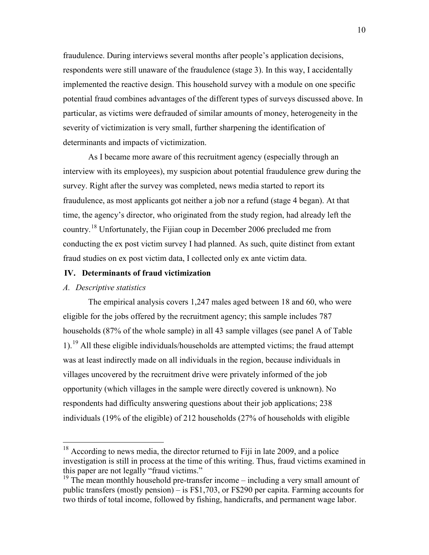fraudulence. During interviews several months after people's application decisions, respondents were still unaware of the fraudulence (stage 3). In this way, I accidentally implemented the reactive design. This household survey with a module on one specific potential fraud combines advantages of the different types of surveys discussed above. In particular, as victims were defrauded of similar amounts of money, heterogeneity in the severity of victimization is very small, further sharpening the identification of determinants and impacts of victimization.

As I became more aware of this recruitment agency (especially through an interview with its employees), my suspicion about potential fraudulence grew during the survey. Right after the survey was completed, news media started to report its fraudulence, as most applicants got neither a job nor a refund (stage 4 began). At that time, the agency's director, who originated from the study region, had already left the country.<sup>18</sup> Unfortunately, the Fijian coup in December 2006 precluded me from conducting the ex post victim survey I had planned. As such, quite distinct from extant fraud studies on ex post victim data, I collected only ex ante victim data.

#### **IV. Determinants of fraud victimization**

# *A. Descriptive statistics*

The empirical analysis covers 1,247 males aged between 18 and 60, who were eligible for the jobs offered by the recruitment agency; this sample includes 787 households (87% of the whole sample) in all 43 sample villages (see panel A of Table 1).<sup>19</sup> All these eligible individuals/households are attempted victims; the fraud attempt was at least indirectly made on all individuals in the region, because individuals in villages uncovered by the recruitment drive were privately informed of the job opportunity (which villages in the sample were directly covered is unknown). No respondents had difficulty answering questions about their job applications; 238 individuals (19% of the eligible) of 212 households (27% of households with eligible

 $18$  According to news media, the director returned to Fiji in late 2009, and a police investigation is still in process at the time of this writing. Thus, fraud victims examined in this paper are not legally "fraud victims."

<sup>&</sup>lt;sup>19</sup> The mean monthly household pre-transfer income – including a very small amount of public transfers (mostly pension) – is F\$1,703, or F\$290 per capita. Farming accounts for two thirds of total income, followed by fishing, handicrafts, and permanent wage labor.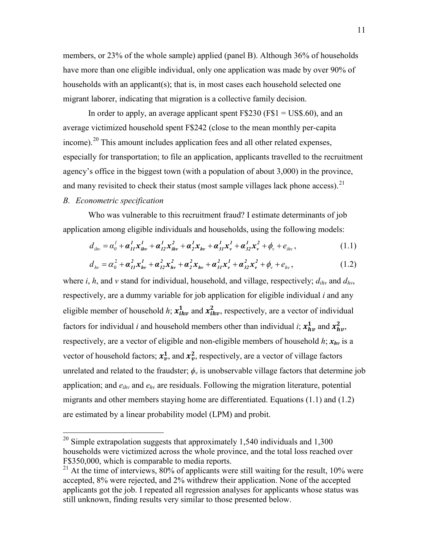members, or 23% of the whole sample) applied (panel B). Although 36% of households have more than one eligible individual, only one application was made by over 90% of households with an applicant(s); that is, in most cases each household selected one migrant laborer, indicating that migration is a collective family decision.

In order to apply, an average applicant spent F\$230 (F\$1 = US\$.60), and an average victimized household spent F\$242 (close to the mean monthly per-capita income).<sup>20</sup> This amount includes application fees and all other related expenses, especially for transportation; to file an application, applicants travelled to the recruitment agency's office in the biggest town (with a population of about 3,000) in the province, and many revisited to check their status (most sample villages lack phone access).  $21$ 

### *B. Econometric specification*

Who was vulnerable to this recruitment fraud? I estimate determinants of job application among eligible individuals and households, using the following models:

$$
d_{ihv} = \alpha_0^l + \boldsymbol{\alpha}_{II}^l \boldsymbol{x}_{ihv}^l + \boldsymbol{\alpha}_{I2}^l \boldsymbol{x}_{ihv}^2 + \boldsymbol{\alpha}_2^l \boldsymbol{x}_{hv} + \boldsymbol{\alpha}_{3I}^l \boldsymbol{x}_v^l + \boldsymbol{\alpha}_{32}^l \boldsymbol{x}_v^2 + \boldsymbol{\phi}_v + \boldsymbol{e}_{ihv},
$$
\n(1.1)

$$
d_{hv} = \alpha_0^2 + \alpha_{II}^2 x_{hv}^1 + \alpha_{I2}^2 x_{hv}^2 + \alpha_{2}^2 x_{hv} + \alpha_{3I}^2 x_{v}^1 + \alpha_{32}^2 x_{v}^2 + \phi_v + e_{hv},
$$
 (1.2)

where *i*, *h*, and *v* stand for individual, household, and village, respectively;  $d_{ihv}$  and  $d_{hv}$ , respectively, are a dummy variable for job application for eligible individual *i* and any eligible member of household *h*;  $x_{ihv}^1$  and  $x_{ihv}^2$ , respectively, are a vector of individual factors for individual *i* and household members other than individual *i*;  $x_{hv}^1$  and  $x_{hv}^2$ , respectively, are a vector of eligible and non-eligible members of household  $h$ ;  $x_{hv}$  is a vector of household factors;  $x_v^1$ , and  $x_v^2$ , respectively, are a vector of village factors unrelated and related to the fraudster;  $\phi_v$  is unobservable village factors that determine job application; and *eihv* and *ehv* are residuals. Following the migration literature, potential migrants and other members staying home are differentiated. Equations (1.1) and (1.2) are estimated by a linear probability model (LPM) and probit.

<sup>&</sup>lt;sup>20</sup> Simple extrapolation suggests that approximately 1,540 individuals and 1,300 households were victimized across the whole province, and the total loss reached over F\$350,000, which is comparable to media reports.

 $21$  At the time of interviews, 80% of applicants were still waiting for the result, 10% were accepted, 8% were rejected, and 2% withdrew their application. None of the accepted applicants got the job. I repeated all regression analyses for applicants whose status was still unknown, finding results very similar to those presented below.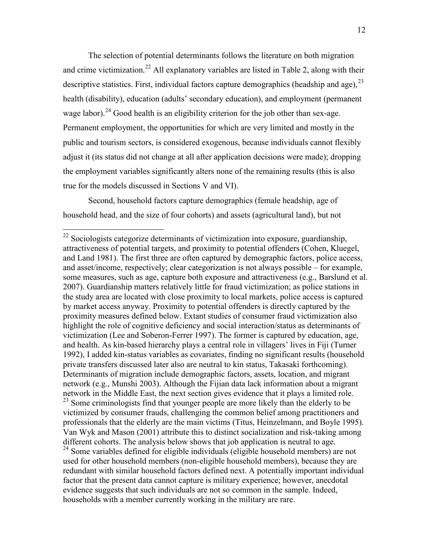The selection of potential determinants follows the literature on both migration and crime victimization.<sup>22</sup> All explanatory variables are listed in Table 2, along with their descriptive statistics. First, individual factors capture demographics (headship and age),  $^{23}$ health (disability), education (adults' secondary education), and employment (permanent wage labor).<sup>24</sup> Good health is an eligibility criterion for the job other than sex-age. Permanent employment, the opportunities for which are very limited and mostly in the public and tourism sectors, is considered exogenous, because individuals cannot flexibly adjust it (its status did not change at all after application decisions were made); dropping the employment variables significantly alters none of the remaining results (this is also true for the models discussed in Sections V and VI).

Second, household factors capture demographics (female headship, age of household head, and the size of four cohorts) and assets (agricultural land), but not

<sup>&</sup>lt;sup>22</sup> Sociologists categorize determinants of victimization into exposure, guardianship, attractiveness of potential targets, and proximity to potential offenders (Cohen, Kluegel, and Land 1981). The first three are often captured by demographic factors, police access, and asset/income, respectively; clear categorization is not always possible – for example, some measures, such as age, capture both exposure and attractiveness (e.g., Barslund et al. 2007). Guardianship matters relatively little for fraud victimization; as police stations in the study area are located with close proximity to local markets, police access is captured by market access anyway. Proximity to potential offenders is directly captured by the proximity measures defined below. Extant studies of consumer fraud victimization also highlight the role of cognitive deficiency and social interaction/status as determinants of victimization (Lee and Soberon-Ferrer 1997). The former is captured by education, age, and health. As kin-based hierarchy plays a central role in villagers' lives in Fiji (Turner 1992), I added kin-status variables as covariates, finding no significant results (household private transfers discussed later also are neutral to kin status, Takasaki forthcoming). Determinants of migration include demographic factors, assets, location, and migrant network (e.g., Munshi 2003). Although the Fijian data lack information about a migrant network in the Middle East, the next section gives evidence that it plays a limited role. 23 Some criminologists find that younger people are more likely than the elderly to be victimized by consumer frauds, challenging the common belief among practitioners and professionals that the elderly are the main victims (Titus, Heinzelmann, and Boyle 1995). Van Wyk and Mason (2001) attribute this to distinct socialization and risk-taking among different cohorts. The analysis below shows that job application is neutral to age.  $24$  Some variables defined for eligible individuals (eligible household members) are not used for other household members (non-eligible household members), because they are

redundant with similar household factors defined next. A potentially important individual factor that the present data cannot capture is military experience; however, anecdotal evidence suggests that such individuals are not so common in the sample. Indeed, households with a member currently working in the military are rare.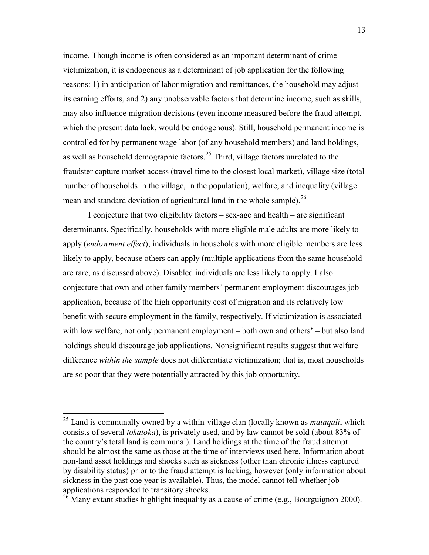income. Though income is often considered as an important determinant of crime victimization, it is endogenous as a determinant of job application for the following reasons: 1) in anticipation of labor migration and remittances, the household may adjust its earning efforts, and 2) any unobservable factors that determine income, such as skills, may also influence migration decisions (even income measured before the fraud attempt, which the present data lack, would be endogenous). Still, household permanent income is controlled for by permanent wage labor (of any household members) and land holdings, as well as household demographic factors.<sup>25</sup> Third, village factors unrelated to the fraudster capture market access (travel time to the closest local market), village size (total number of households in the village, in the population), welfare, and inequality (village mean and standard deviation of agricultural land in the whole sample).  $^{26}$ 

I conjecture that two eligibility factors – sex-age and health – are significant determinants. Specifically, households with more eligible male adults are more likely to apply (*endowment effect*); individuals in households with more eligible members are less likely to apply, because others can apply (multiple applications from the same household are rare, as discussed above). Disabled individuals are less likely to apply. I also conjecture that own and other family members' permanent employment discourages job application, because of the high opportunity cost of migration and its relatively low benefit with secure employment in the family, respectively. If victimization is associated with low welfare, not only permanent employment – both own and others' – but also land holdings should discourage job applications. Nonsignificant results suggest that welfare difference *within the sample* does not differentiate victimization; that is, most households are so poor that they were potentially attracted by this job opportunity.

 <sup>25</sup> Land is communally owned by a within-village clan (locally known as *mataqali*, which consists of several *tokatoka*), is privately used, and by law cannot be sold (about 83% of the country's total land is communal). Land holdings at the time of the fraud attempt should be almost the same as those at the time of interviews used here. Information about non-land asset holdings and shocks such as sickness (other than chronic illness captured by disability status) prior to the fraud attempt is lacking, however (only information about sickness in the past one year is available). Thus, the model cannot tell whether job

 $26$  Many extant studies highlight inequality as a cause of crime (e.g., Bourguignon 2000).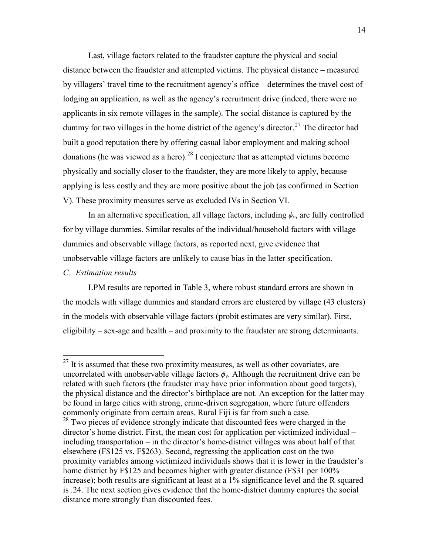Last, village factors related to the fraudster capture the physical and social distance between the fraudster and attempted victims. The physical distance – measured by villagers' travel time to the recruitment agency's office – determines the travel cost of lodging an application, as well as the agency's recruitment drive (indeed, there were no applicants in six remote villages in the sample). The social distance is captured by the dummy for two villages in the home district of the agency's director.<sup>27</sup> The director had built a good reputation there by offering casual labor employment and making school donations (he was viewed as a hero).<sup>28</sup> I conjecture that as attempted victims become physically and socially closer to the fraudster, they are more likely to apply, because applying is less costly and they are more positive about the job (as confirmed in Section V). These proximity measures serve as excluded IVs in Section VI.

In an alternative specification, all village factors, including  $\phi_v$ , are fully controlled for by village dummies. Similar results of the individual/household factors with village dummies and observable village factors, as reported next, give evidence that unobservable village factors are unlikely to cause bias in the latter specification.

#### *C. Estimation results*

LPM results are reported in Table 3, where robust standard errors are shown in the models with village dummies and standard errors are clustered by village (43 clusters) in the models with observable village factors (probit estimates are very similar). First, eligibility – sex-age and health – and proximity to the fraudster are strong determinants.

 $27$  It is assumed that these two proximity measures, as well as other covariates, are uncorrelated with unobservable village factors  $\phi_{v}$ . Although the recruitment drive can be related with such factors (the fraudster may have prior information about good targets), the physical distance and the director's birthplace are not. An exception for the latter may be found in large cities with strong, crime-driven segregation, where future offenders commonly originate from certain areas. Rural Fiji is far from such a case.

<sup>&</sup>lt;sup>28</sup> Two pieces of evidence strongly indicate that discounted fees were charged in the director's home district. First, the mean cost for application per victimized individual – including transportation – in the director's home-district villages was about half of that elsewhere (F\$125 vs. F\$263). Second, regressing the application cost on the two proximity variables among victimized individuals shows that it is lower in the fraudster's home district by F\$125 and becomes higher with greater distance (F\$31 per 100%) increase); both results are significant at least at a 1% significance level and the R squared is .24. The next section gives evidence that the home-district dummy captures the social distance more strongly than discounted fees.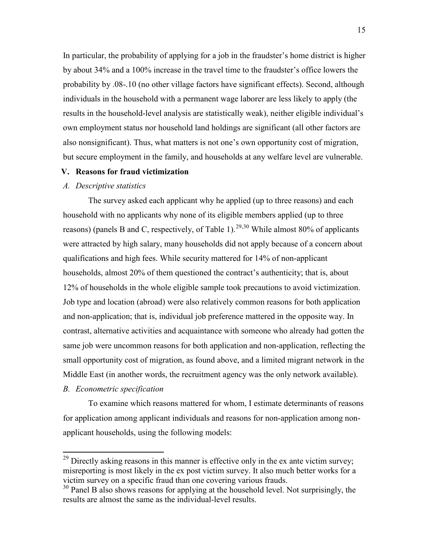In particular, the probability of applying for a job in the fraudster's home district is higher by about 34% and a 100% increase in the travel time to the fraudster's office lowers the probability by .08-.10 (no other village factors have significant effects). Second, although individuals in the household with a permanent wage laborer are less likely to apply (the results in the household-level analysis are statistically weak), neither eligible individual's own employment status nor household land holdings are significant (all other factors are also nonsignificant). Thus, what matters is not one's own opportunity cost of migration, but secure employment in the family, and households at any welfare level are vulnerable.

#### **V. Reasons for fraud victimization**

#### *A. Descriptive statistics*

The survey asked each applicant why he applied (up to three reasons) and each household with no applicants why none of its eligible members applied (up to three reasons) (panels B and C, respectively, of Table 1).<sup>29,30</sup> While almost 80% of applicants were attracted by high salary, many households did not apply because of a concern about qualifications and high fees. While security mattered for 14% of non-applicant households, almost 20% of them questioned the contract's authenticity; that is, about 12% of households in the whole eligible sample took precautions to avoid victimization. Job type and location (abroad) were also relatively common reasons for both application and non-application; that is, individual job preference mattered in the opposite way. In contrast, alternative activities and acquaintance with someone who already had gotten the same job were uncommon reasons for both application and non-application, reflecting the small opportunity cost of migration, as found above, and a limited migrant network in the Middle East (in another words, the recruitment agency was the only network available).

### *B. Econometric specification*

To examine which reasons mattered for whom, I estimate determinants of reasons for application among applicant individuals and reasons for non-application among nonapplicant households, using the following models:

 $29$  Directly asking reasons in this manner is effective only in the ex ante victim survey; misreporting is most likely in the ex post victim survey. It also much better works for a victim survey on a specific fraud than one covering various frauds.

<sup>&</sup>lt;sup>30</sup> Panel B also shows reasons for applying at the household level. Not surprisingly, the results are almost the same as the individual-level results.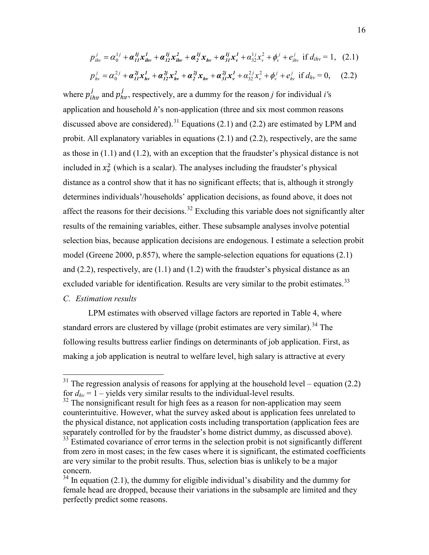$$
p_{ihv}^j = \alpha_0^{1j} + \alpha_{II}^{1j} x_{ihv}^1 + \alpha_{I2}^{1j} x_{ihv}^2 + \alpha_{2}^{1j} x_{hv} + \alpha_{3I}^{1j} x_{v}^1 + \alpha_{32}^{1j} x_{v}^2 + \phi_{v}^j + e_{ihv}^j \text{ if } d_{ihv} = 1, (2.1)
$$

$$
p_{hv}^j = \alpha_0^{2j} + \alpha_{II}^{2j} x_{hv}^l + \alpha_{I2}^{2j} x_{hv}^2 + \alpha_{2}^{2j} x_{hv} + \alpha_{3I}^{2j} x_v^l + \alpha_{32}^{2j} x_v^2 + \phi_v^j + e_{hv}^j \text{ if } d_{hv} = 0, \quad (2.2)
$$

where  $p_{ihv}^j$  and  $p_{hv}^j$ , respectively, are a dummy for the reason *j* for individual *i*'s application and household *h*'s non-application (three and six most common reasons discussed above are considered).<sup>31</sup> Equations (2.1) and (2.2) are estimated by LPM and probit. All explanatory variables in equations (2.1) and (2.2), respectively, are the same as those in (1.1) and (1.2), with an exception that the fraudster's physical distance is not included in  $x_v^2$  (which is a scalar). The analyses including the fraudster's physical distance as a control show that it has no significant effects; that is, although it strongly determines individuals'/households' application decisions, as found above, it does not affect the reasons for their decisions.<sup>32</sup> Excluding this variable does not significantly alter results of the remaining variables, either. These subsample analyses involve potential selection bias, because application decisions are endogenous. I estimate a selection probit model (Greene 2000, p.857), where the sample-selection equations for equations (2.1) and  $(2.2)$ , respectively, are  $(1.1)$  and  $(1.2)$  with the fraudster's physical distance as an excluded variable for identification. Results are very similar to the probit estimates.<sup>33</sup> *C. Estimation results*

LPM estimates with observed village factors are reported in Table 4, where standard errors are clustered by village (probit estimates are very similar).<sup>34</sup> The following results buttress earlier findings on determinants of job application. First, as making a job application is neutral to welfare level, high salary is attractive at every

 $31$  The regression analysis of reasons for applying at the household level – equation (2.2) for  $d_{hv} = 1$  – yields very similar results to the individual-level results.

 $32$  The nonsignificant result for high fees as a reason for non-application may seem counterintuitive. However, what the survey asked about is application fees unrelated to the physical distance, not application costs including transportation (application fees are separately controlled for by the fraudster's home district dummy, as discussed above).<br><sup>33</sup> Estimated covariance of error terms in the selection probit is not significantly different

from zero in most cases; in the few cases where it is significant, the estimated coefficients are very similar to the probit results. Thus, selection bias is unlikely to be a major concern.

 $34$  In equation (2.1), the dummy for eligible individual's disability and the dummy for female head are dropped, because their variations in the subsample are limited and they perfectly predict some reasons.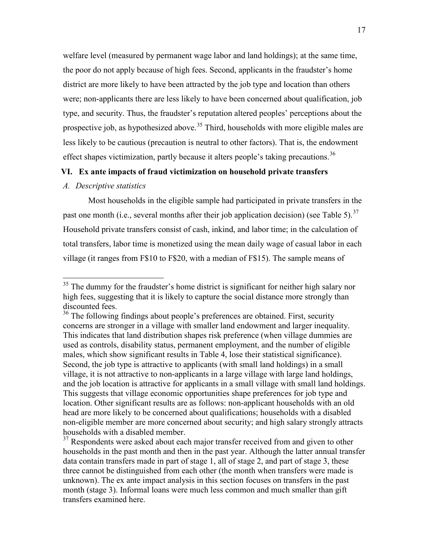welfare level (measured by permanent wage labor and land holdings); at the same time, the poor do not apply because of high fees. Second, applicants in the fraudster's home district are more likely to have been attracted by the job type and location than others were; non-applicants there are less likely to have been concerned about qualification, job type, and security. Thus, the fraudster's reputation altered peoples' perceptions about the prospective job, as hypothesized above.<sup>35</sup> Third, households with more eligible males are less likely to be cautious (precaution is neutral to other factors). That is, the endowment effect shapes victimization, partly because it alters people's taking precautions.<sup>36</sup>

### **VI. Ex ante impacts of fraud victimization on household private transfers**

### *A. Descriptive statistics*

Most households in the eligible sample had participated in private transfers in the past one month (i.e., several months after their job application decision) (see Table 5).<sup>37</sup> Household private transfers consist of cash, inkind, and labor time; in the calculation of total transfers, labor time is monetized using the mean daily wage of casual labor in each village (it ranges from F\$10 to F\$20, with a median of F\$15). The sample means of

<sup>&</sup>lt;sup>35</sup> The dummy for the fraudster's home district is significant for neither high salary nor high fees, suggesting that it is likely to capture the social distance more strongly than discounted fees.

<sup>&</sup>lt;sup>36</sup> The following findings about people's preferences are obtained. First, security concerns are stronger in a village with smaller land endowment and larger inequality. This indicates that land distribution shapes risk preference (when village dummies are used as controls, disability status, permanent employment, and the number of eligible males, which show significant results in Table 4, lose their statistical significance). Second, the job type is attractive to applicants (with small land holdings) in a small village, it is not attractive to non-applicants in a large village with large land holdings, and the job location is attractive for applicants in a small village with small land holdings. This suggests that village economic opportunities shape preferences for job type and location. Other significant results are as follows: non-applicant households with an old head are more likely to be concerned about qualifications; households with a disabled non-eligible member are more concerned about security; and high salary strongly attracts households with a disabled member.<br><sup>37</sup> Respondents were asked about each major transfer received from and given to other

households in the past month and then in the past year. Although the latter annual transfer data contain transfers made in part of stage 1, all of stage 2, and part of stage 3, these three cannot be distinguished from each other (the month when transfers were made is unknown). The ex ante impact analysis in this section focuses on transfers in the past month (stage 3). Informal loans were much less common and much smaller than gift transfers examined here.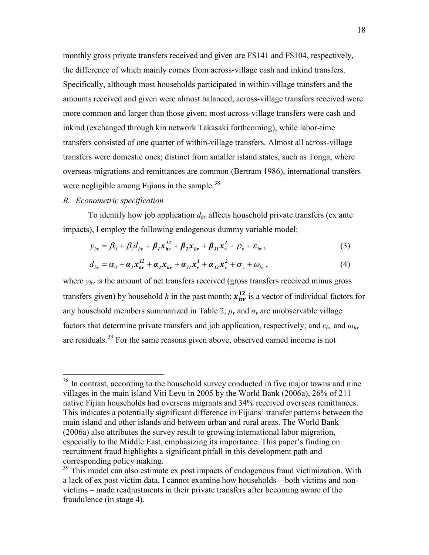monthly gross private transfers received and given are F\$141 and F\$104, respectively, the difference of which mainly comes from across-village cash and inkind transfers. Specifically, although most households participated in within-village transfers and the amounts received and given were almost balanced, across-village transfers received were more common and larger than those given; most across-village transfers were cash and inkind (exchanged through kin network Takasaki forthcoming), while labor-time transfers consisted of one quarter of within-village transfers. Almost all across-village transfers were domestic ones; distinct from smaller island states, such as Tonga, where overseas migrations and remittances are common (Bertram 1986), international transfers were negligible among Fijians in the sample.<sup>38</sup>

# *B. Econometric specification*

To identify how job application  $d_{hv}$  affects household private transfers (ex ante impacts), I employ the following endogenous dummy variable model:

$$
y_{hv} = \beta_0 + \beta_1 d_{hv} + \beta_1 x_{hv}^{12} + \beta_2 x_{hv} + \beta_{31} x_v^1 + \rho_v + \varepsilon_{hv},
$$
 (3)

$$
d_{hv} = \alpha_0 + \boldsymbol{\alpha}_1 \boldsymbol{x}_{hv}^{12} + \boldsymbol{\alpha}_2 \boldsymbol{x}_{hv} + \boldsymbol{\alpha}_{31} \boldsymbol{x}_v^1 + \boldsymbol{\alpha}_{32} \boldsymbol{x}_v^2 + \boldsymbol{\sigma}_v + \boldsymbol{\omega}_{hv},
$$
\n(4)

where  $y_{hv}$  is the amount of net transfers received (gross transfers received minus gross transfers given) by household *h* in the past month;  $x_{hv}^{12}$  is a vector of individual factors for any household members summarized in Table 2;  $\rho<sub>v</sub>$  and  $\sigma<sub>v</sub>$  are unobservable village factors that determine private transfers and job application, respectively; and  $\varepsilon_{hv}$  and  $\omega_{hv}$ are residuals.<sup>39</sup> For the same reasons given above, observed earned income is not

<sup>&</sup>lt;sup>38</sup> In contrast, according to the household survey conducted in five major towns and nine villages in the main island Viti Levu in 2005 by the World Bank (2006a), 26% of 211 native Fijian households had overseas migrants and 34% received overseas remittances. This indicates a potentially significant difference in Fijians' transfer patterns between the main island and other islands and between urban and rural areas. The World Bank (2006a) also attributes the survey result to growing international labor migration, especially to the Middle East, emphasizing its importance. This paper's finding on recruitment fraud highlights a significant pitfall in this development path and corresponding policy making.

 $39$  This model can also estimate ex post impacts of endogenous fraud victimization. With a lack of ex post victim data, I cannot examine how households – both victims and nonvictims – made readjustments in their private transfers after becoming aware of the fraudulence (in stage 4).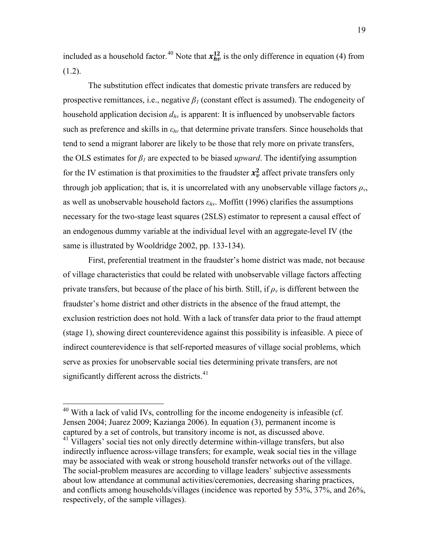included as a household factor.<sup>40</sup> Note that  $x_{hv}^{12}$  is the only difference in equation (4) from  $(1.2)$ .

The substitution effect indicates that domestic private transfers are reduced by prospective remittances, i.e., negative  $\beta_l$  (constant effect is assumed). The endogeneity of household application decision *dhv* is apparent: It is influenced by unobservable factors such as preference and skills in  $\varepsilon_{hv}$  that determine private transfers. Since households that tend to send a migrant laborer are likely to be those that rely more on private transfers, the OLS estimates for  $\beta_l$  are expected to be biased *upward*. The identifying assumption for the IV estimation is that proximities to the fraudster  $x_v^2$  affect private transfers only through job application; that is, it is uncorrelated with any unobservable village factors  $\rho_v$ , as well as unobservable household factors  $\varepsilon_{hv}$ . Moffitt (1996) clarifies the assumptions necessary for the two-stage least squares (2SLS) estimator to represent a causal effect of an endogenous dummy variable at the individual level with an aggregate-level IV (the same is illustrated by Wooldridge 2002, pp. 133-134).

First, preferential treatment in the fraudster's home district was made, not because of village characteristics that could be related with unobservable village factors affecting private transfers, but because of the place of his birth. Still, if  $\rho<sub>v</sub>$  is different between the fraudster's home district and other districts in the absence of the fraud attempt, the exclusion restriction does not hold. With a lack of transfer data prior to the fraud attempt (stage 1), showing direct counterevidence against this possibility is infeasible. A piece of indirect counterevidence is that self-reported measures of village social problems, which serve as proxies for unobservable social ties determining private transfers, are not significantly different across the districts.<sup>41</sup>

<sup>&</sup>lt;sup>40</sup> With a lack of valid IVs, controlling for the income endogeneity is infeasible (cf. Jensen 2004; Juarez 2009; Kazianga 2006). In equation (3), permanent income is captured by a set of controls, but transitory income is not, as discussed above.

<sup>&</sup>lt;sup>41</sup> Villagers' social ties not only directly determine within-village transfers, but also indirectly influence across-village transfers; for example, weak social ties in the village may be associated with weak or strong household transfer networks out of the village. The social-problem measures are according to village leaders' subjective assessments about low attendance at communal activities/ceremonies, decreasing sharing practices, and conflicts among households/villages (incidence was reported by 53%, 37%, and 26%, respectively, of the sample villages).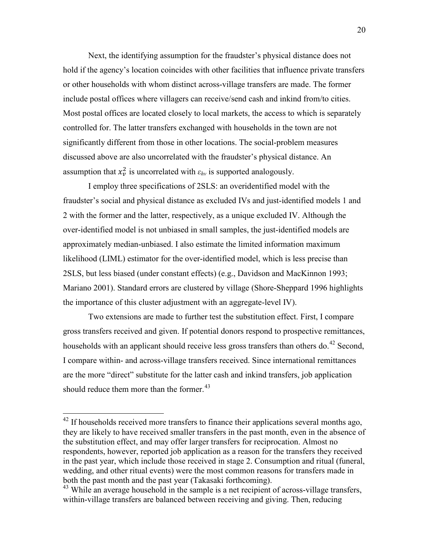Next, the identifying assumption for the fraudster's physical distance does not hold if the agency's location coincides with other facilities that influence private transfers or other households with whom distinct across-village transfers are made. The former include postal offices where villagers can receive/send cash and inkind from/to cities. Most postal offices are located closely to local markets, the access to which is separately controlled for. The latter transfers exchanged with households in the town are not significantly different from those in other locations. The social-problem measures discussed above are also uncorrelated with the fraudster's physical distance. An assumption that  $x_v^2$  is uncorrelated with  $\varepsilon_{hv}$  is supported analogously.

I employ three specifications of 2SLS: an overidentified model with the fraudster's social and physical distance as excluded IVs and just-identified models 1 and 2 with the former and the latter, respectively, as a unique excluded IV. Although the over-identified model is not unbiased in small samples, the just-identified models are approximately median-unbiased. I also estimate the limited information maximum likelihood (LIML) estimator for the over-identified model, which is less precise than 2SLS, but less biased (under constant effects) (e.g., Davidson and MacKinnon 1993; Mariano 2001). Standard errors are clustered by village (Shore-Sheppard 1996 highlights the importance of this cluster adjustment with an aggregate-level IV).

Two extensions are made to further test the substitution effect. First, I compare gross transfers received and given. If potential donors respond to prospective remittances, households with an applicant should receive less gross transfers than others do.<sup>42</sup> Second, I compare within- and across-village transfers received. Since international remittances are the more "direct" substitute for the latter cash and inkind transfers, job application should reduce them more than the former.<sup>43</sup>

<sup>&</sup>lt;sup>42</sup> If households received more transfers to finance their applications several months ago, they are likely to have received smaller transfers in the past month, even in the absence of the substitution effect, and may offer larger transfers for reciprocation. Almost no respondents, however, reported job application as a reason for the transfers they received in the past year, which include those received in stage 2. Consumption and ritual (funeral, wedding, and other ritual events) were the most common reasons for transfers made in both the past month and the past year (Takasaki forthcoming). 43 While an average household in the sample is a net recipient of across-village transfers,

within-village transfers are balanced between receiving and giving. Then, reducing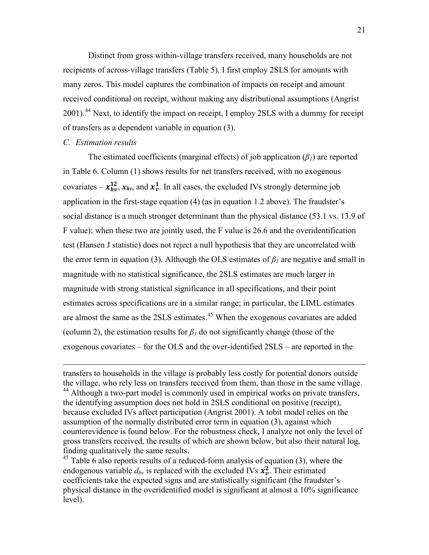Distinct from gross within-village transfers received, many households are not recipients of across-village transfers (Table 5). I first employ 2SLS for amounts with many zeros. This model captures the combination of impacts on receipt and amount received conditional on receipt, without making any distributional assumptions (Angrist 2001).<sup>44</sup> Next, to identify the impact on receipt, I employ 2SLS with a dummy for receipt of transfers as a dependent variable in equation (3).

#### *C. Estimation results*

 $\overline{a}$ 

The estimated coefficients (marginal effects) of job application  $(\beta_i)$  are reported in Table 6. Column (1) shows results for net transfers received, with no exogenous covariates –  $x_{hv}^{12}$ ,  $x_{hv}$ , and  $x_v^1$ . In all cases, the excluded IVs strongly determine job application in the first-stage equation (4) (as in equation 1.2 above). The fraudster's social distance is a much stronger determinant than the physical distance (53.1 vs. 13.9 of F value); when these two are jointly used, the F value is 26.6 and the overidentification test (Hansen J statistic) does not reject a null hypothesis that they are uncorrelated with the error term in equation (3). Although the OLS estimates of  $\beta_l$  are negative and small in magnitude with no statistical significance, the 2SLS estimates are much larger in magnitude with strong statistical significance in all specifications, and their point estimates across specifications are in a similar range; in particular, the LIML estimates are almost the same as the 2SLS estimates.<sup>45</sup> When the exogenous covariates are added (column 2), the estimation results for  $\beta$ <sup>*l*</sup> do not significantly change (those of the exogenous covariates – for the OLS and the over-identified 2SLS – are reported in the

transfers to households in the village is probably less costly for potential donors outside the village, who rely less on transfers received from them, than those in the same village. <sup>44</sup> Although a two-part model is commonly used in empirical works on private transfers, the identifying assumption does not hold in 2SLS conditional on positive (receipt), because excluded IVs affect participation (Angrist 2001). A tobit model relies on the assumption of the normally distributed error term in equation (3), against which counterevidence is found below. For the robustness check, I analyze not only the level of gross transfers received, the results of which are shown below, but also their natural log, finding qualitatively the same results.

 $45$  Table 6 also reports results of a reduced-form analysis of equation (3), where the endogenous variable  $d_{hv}$  is replaced with the excluded IVs  $x_v^2$ . Their estimated coefficients take the expected signs and are statistically significant (the fraudster's physical distance in the overidentified model is significant at almost a 10% significance level).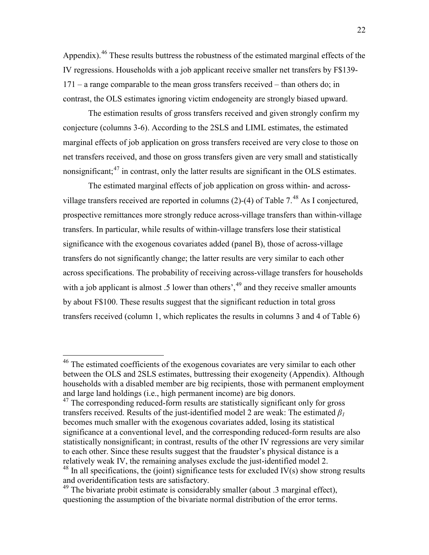Appendix).<sup>46</sup> These results buttress the robustness of the estimated marginal effects of the IV regressions. Households with a job applicant receive smaller net transfers by F\$139- 171 – a range comparable to the mean gross transfers received – than others do; in contrast, the OLS estimates ignoring victim endogeneity are strongly biased upward.

The estimation results of gross transfers received and given strongly confirm my conjecture (columns 3-6). According to the 2SLS and LIML estimates, the estimated marginal effects of job application on gross transfers received are very close to those on net transfers received, and those on gross transfers given are very small and statistically nonsignificant;<sup>47</sup> in contrast, only the latter results are significant in the OLS estimates.

The estimated marginal effects of job application on gross within- and acrossvillage transfers received are reported in columns  $(2)-(4)$  of Table 7.<sup>48</sup> As I conjectured, prospective remittances more strongly reduce across-village transfers than within-village transfers. In particular, while results of within-village transfers lose their statistical significance with the exogenous covariates added (panel B), those of across-village transfers do not significantly change; the latter results are very similar to each other across specifications. The probability of receiving across-village transfers for households with a job applicant is almost .5 lower than others', <sup>49</sup> and they receive smaller amounts by about F\$100. These results suggest that the significant reduction in total gross transfers received (column 1, which replicates the results in columns 3 and 4 of Table 6)

<sup>&</sup>lt;sup>46</sup> The estimated coefficients of the exogenous covariates are very similar to each other between the OLS and 2SLS estimates, buttressing their exogeneity (Appendix). Although households with a disabled member are big recipients, those with permanent employment and large land holdings (i.e., high permanent income) are big donors.

 $47$  The corresponding reduced-form results are statistically significant only for gross transfers received. Results of the just-identified model 2 are weak: The estimated  $\beta_l$ becomes much smaller with the exogenous covariates added, losing its statistical significance at a conventional level, and the corresponding reduced-form results are also statistically nonsignificant; in contrast, results of the other IV regressions are very similar to each other. Since these results suggest that the fraudster's physical distance is a relatively weak IV, the remaining analyses exclude the just-identified model 2.  $48$  In all specifications, the (joint) significance tests for excluded IV(s) show strong results and overidentification tests are satisfactory.

 $49$  The bivariate probit estimate is considerably smaller (about .3 marginal effect), questioning the assumption of the bivariate normal distribution of the error terms.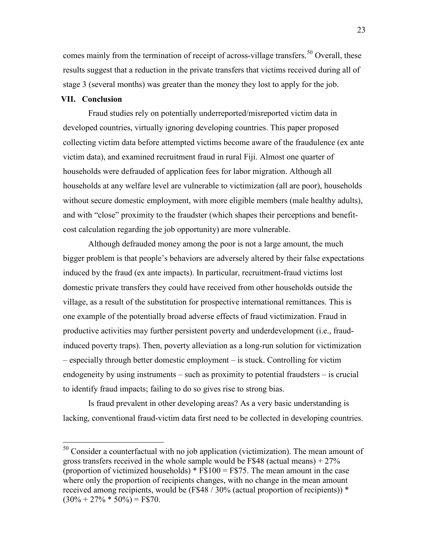comes mainly from the termination of receipt of across-village transfers.<sup>50</sup> Overall, these results suggest that a reduction in the private transfers that victims received during all of stage 3 (several months) was greater than the money they lost to apply for the job.

#### **VII. Conclusion**

Fraud studies rely on potentially underreported/misreported victim data in developed countries, virtually ignoring developing countries. This paper proposed collecting victim data before attempted victims become aware of the fraudulence (ex ante victim data), and examined recruitment fraud in rural Fiji. Almost one quarter of households were defrauded of application fees for labor migration. Although all households at any welfare level are vulnerable to victimization (all are poor), households without secure domestic employment, with more eligible members (male healthy adults), and with "close" proximity to the fraudster (which shapes their perceptions and benefitcost calculation regarding the job opportunity) are more vulnerable.

Although defrauded money among the poor is not a large amount, the much bigger problem is that people's behaviors are adversely altered by their false expectations induced by the fraud (ex ante impacts). In particular, recruitment-fraud victims lost domestic private transfers they could have received from other households outside the village, as a result of the substitution for prospective international remittances. This is one example of the potentially broad adverse effects of fraud victimization. Fraud in productive activities may further persistent poverty and underdevelopment (i.e., fraudinduced poverty traps). Then, poverty alleviation as a long-run solution for victimization – especially through better domestic employment – is stuck. Controlling for victim endogeneity by using instruments – such as proximity to potential fraudsters – is crucial to identify fraud impacts; failing to do so gives rise to strong bias.

Is fraud prevalent in other developing areas? As a very basic understanding is lacking, conventional fraud-victim data first need to be collected in developing countries.

 $50$  Consider a counterfactual with no job application (victimization). The mean amount of gross transfers received in the whole sample would be F\$48 (actual means)  $+27\%$ (proportion of victimized households)  $*$  F\$100 = F\$75. The mean amount in the case where only the proportion of recipients changes, with no change in the mean amount received among recipients, would be (F\$48 / 30% (actual proportion of recipients)) \*  $(30\% + 27\% * 50\%) =$  F\$70.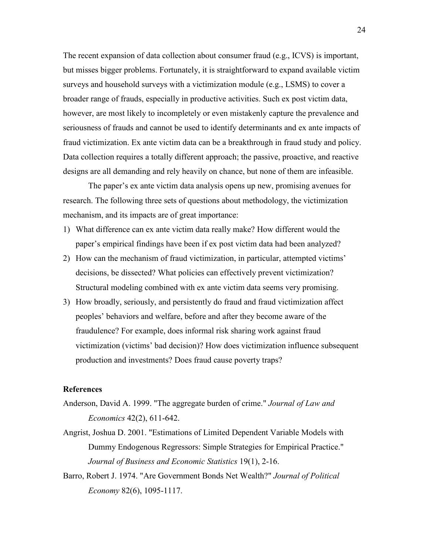The recent expansion of data collection about consumer fraud (e.g., ICVS) is important, but misses bigger problems. Fortunately, it is straightforward to expand available victim surveys and household surveys with a victimization module (e.g., LSMS) to cover a broader range of frauds, especially in productive activities. Such ex post victim data, however, are most likely to incompletely or even mistakenly capture the prevalence and seriousness of frauds and cannot be used to identify determinants and ex ante impacts of fraud victimization. Ex ante victim data can be a breakthrough in fraud study and policy. Data collection requires a totally different approach; the passive, proactive, and reactive designs are all demanding and rely heavily on chance, but none of them are infeasible.

The paper's ex ante victim data analysis opens up new, promising avenues for research. The following three sets of questions about methodology, the victimization mechanism, and its impacts are of great importance:

- 1) What difference can ex ante victim data really make? How different would the paper's empirical findings have been if ex post victim data had been analyzed?
- 2) How can the mechanism of fraud victimization, in particular, attempted victims' decisions, be dissected? What policies can effectively prevent victimization? Structural modeling combined with ex ante victim data seems very promising.
- 3) How broadly, seriously, and persistently do fraud and fraud victimization affect peoples' behaviors and welfare, before and after they become aware of the fraudulence? For example, does informal risk sharing work against fraud victimization (victims' bad decision)? How does victimization influence subsequent production and investments? Does fraud cause poverty traps?

### **References**

- Anderson, David A. 1999. "The aggregate burden of crime." *Journal of Law and Economics* 42(2), 611-642.
- Angrist, Joshua D. 2001. "Estimations of Limited Dependent Variable Models with Dummy Endogenous Regressors: Simple Strategies for Empirical Practice." *Journal of Business and Economic Statistics* 19(1), 2-16.
- Barro, Robert J. 1974. "Are Government Bonds Net Wealth?" *Journal of Political Economy* 82(6), 1095-1117.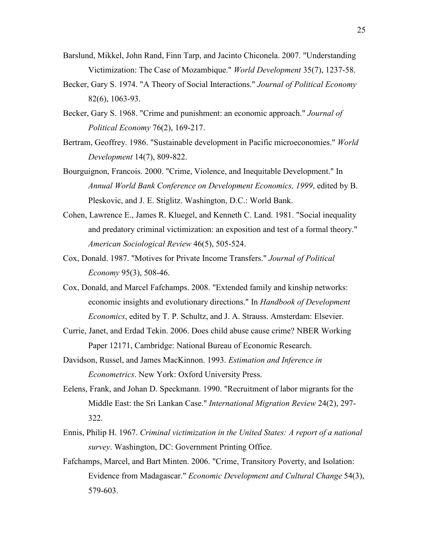- Barslund, Mikkel, John Rand, Finn Tarp, and Jacinto Chiconela. 2007. "Understanding Victimization: The Case of Mozambique." *World Development* 35(7), 1237-58.
- Becker, Gary S. 1974. "A Theory of Social Interactions." *Journal of Political Economy* 82(6), 1063-93.
- Becker, Gary S. 1968. "Crime and punishment: an economic approach." *Journal of Political Economy* 76(2), 169-217.
- Bertram, Geoffrey. 1986. "Sustainable development in Pacific microeconomies." *World Development* 14(7), 809-822.
- Bourguignon, Francois. 2000. "Crime, Violence, and Inequitable Development." In *Annual World Bank Conference on Development Economics, 1999*, edited by B. Pleskovic, and J. E. Stiglitz. Washington, D.C.: World Bank.
- Cohen, Lawrence E., James R. Kluegel, and Kenneth C. Land. 1981. "Social inequality and predatory criminal victimization: an exposition and test of a formal theory." *American Sociological Review* 46(5), 505-524.
- Cox, Donald. 1987. "Motives for Private Income Transfers." *Journal of Political Economy* 95(3), 508-46.
- Cox, Donald, and Marcel Fafchamps. 2008. "Extended family and kinship networks: economic insights and evolutionary directions." In *Handbook of Development Economics*, edited by T. P. Schultz, and J. A. Strauss. Amsterdam: Elsevier.
- Currie, Janet, and Erdad Tekin. 2006. Does child abuse cause crime? NBER Working Paper 12171, Cambridge: National Bureau of Economic Research.
- Davidson, Russel, and James MacKinnon. 1993. *Estimation and Inference in Econometrics*. New York: Oxford University Press.
- Eelens, Frank, and Johan D. Speckmann. 1990. "Recruitment of labor migrants for the Middle East: the Sri Lankan Case." *International Migration Review* 24(2), 297- 322.
- Ennis, Philip H. 1967. *Criminal victimization in the United States: A report of a national survey*. Washington, DC: Government Printing Office.
- Fafchamps, Marcel, and Bart Minten. 2006. "Crime, Transitory Poverty, and Isolation: Evidence from Madagascar." *Economic Development and Cultural Change* 54(3), 579-603.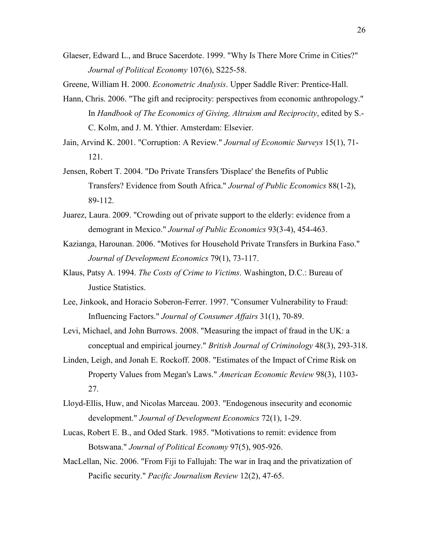Glaeser, Edward L., and Bruce Sacerdote. 1999. "Why Is There More Crime in Cities?" *Journal of Political Economy* 107(6), S225-58.

Greene, William H. 2000. *Econometric Analysis*. Upper Saddle River: Prentice-Hall.

- Hann, Chris. 2006. "The gift and reciprocity: perspectives from economic anthropology." In *Handbook of The Economics of Giving, Altruism and Reciprocity*, edited by S.- C. Kolm, and J. M. Ythier. Amsterdam: Elsevier.
- Jain, Arvind K. 2001. "Corruption: A Review." *Journal of Economic Surveys* 15(1), 71- 121.
- Jensen, Robert T. 2004. "Do Private Transfers 'Displace' the Benefits of Public Transfers? Evidence from South Africa." *Journal of Public Economics* 88(1-2), 89-112.
- Juarez, Laura. 2009. "Crowding out of private support to the elderly: evidence from a demogrant in Mexico." *Journal of Public Economics* 93(3-4), 454-463.
- Kazianga, Harounan. 2006. "Motives for Household Private Transfers in Burkina Faso." *Journal of Development Economics* 79(1), 73-117.
- Klaus, Patsy A. 1994. *The Costs of Crime to Victims*. Washington, D.C.: Bureau of Justice Statistics.
- Lee, Jinkook, and Horacio Soberon-Ferrer. 1997. "Consumer Vulnerability to Fraud: Influencing Factors." *Journal of Consumer Affairs* 31(1), 70-89.
- Levi, Michael, and John Burrows. 2008. "Measuring the impact of fraud in the UK: a conceptual and empirical journey." *British Journal of Criminology* 48(3), 293-318.
- Linden, Leigh, and Jonah E. Rockoff. 2008. "Estimates of the Impact of Crime Risk on Property Values from Megan's Laws." *American Economic Review* 98(3), 1103- 27.
- Lloyd-Ellis, Huw, and Nicolas Marceau. 2003. "Endogenous insecurity and economic development." *Journal of Development Economics* 72(1), 1-29.
- Lucas, Robert E. B., and Oded Stark. 1985. "Motivations to remit: evidence from Botswana." *Journal of Political Economy* 97(5), 905-926.
- MacLellan, Nic. 2006. "From Fiji to Fallujah: The war in Iraq and the privatization of Pacific security." *Pacific Journalism Review* 12(2), 47-65.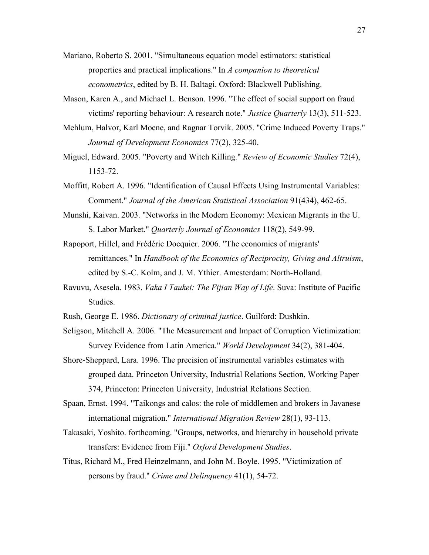- Mariano, Roberto S. 2001. "Simultaneous equation model estimators: statistical properties and practical implications." In *A companion to theoretical econometrics*, edited by B. H. Baltagi. Oxford: Blackwell Publishing.
- Mason, Karen A., and Michael L. Benson. 1996. "The effect of social support on fraud victims' reporting behaviour: A research note." *Justice Quarterly* 13(3), 511-523.
- Mehlum, Halvor, Karl Moene, and Ragnar Torvik. 2005. "Crime Induced Poverty Traps." *Journal of Development Economics* 77(2), 325-40.
- Miguel, Edward. 2005. "Poverty and Witch Killing." *Review of Economic Studies* 72(4), 1153-72.
- Moffitt, Robert A. 1996. "Identification of Causal Effects Using Instrumental Variables: Comment." *Journal of the American Statistical Association* 91(434), 462-65.
- Munshi, Kaivan. 2003. "Networks in the Modern Economy: Mexican Migrants in the U. S. Labor Market." *Quarterly Journal of Economics* 118(2), 549-99.
- Rapoport, Hillel, and Frédéric Docquier. 2006. "The economics of migrants' remittances." In *Handbook of the Economics of Reciprocity, Giving and Altruism*, edited by S.-C. Kolm, and J. M. Ythier. Amesterdam: North-Holland.
- Ravuvu, Asesela. 1983. *Vaka I Taukei: The Fijian Way of Life*. Suva: Institute of Pacific Studies.
- Rush, George E. 1986. *Dictionary of criminal justice*. Guilford: Dushkin.
- Seligson, Mitchell A. 2006. "The Measurement and Impact of Corruption Victimization: Survey Evidence from Latin America." *World Development* 34(2), 381-404.
- Shore-Sheppard, Lara. 1996. The precision of instrumental variables estimates with grouped data. Princeton University, Industrial Relations Section, Working Paper 374, Princeton: Princeton University, Industrial Relations Section.
- Spaan, Ernst. 1994. "Taikongs and calos: the role of middlemen and brokers in Javanese international migration." *International Migration Review* 28(1), 93-113.
- Takasaki, Yoshito. forthcoming. "Groups, networks, and hierarchy in household private transfers: Evidence from Fiji." *Oxford Development Studies*.
- Titus, Richard M., Fred Heinzelmann, and John M. Boyle. 1995. "Victimization of persons by fraud." *Crime and Delinquency* 41(1), 54-72.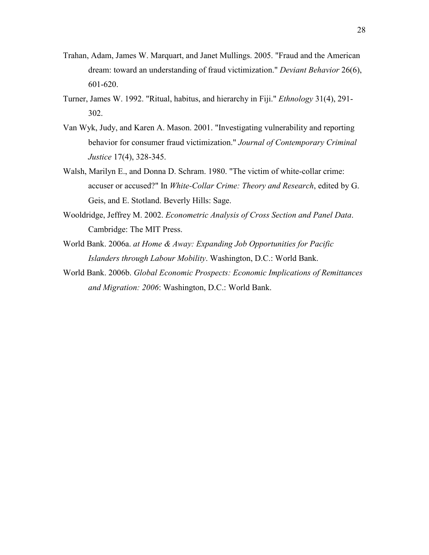- Trahan, Adam, James W. Marquart, and Janet Mullings. 2005. "Fraud and the American dream: toward an understanding of fraud victimization." *Deviant Behavior* 26(6), 601-620.
- Turner, James W. 1992. "Ritual, habitus, and hierarchy in Fiji." *Ethnology* 31(4), 291- 302.
- Van Wyk, Judy, and Karen A. Mason. 2001. "Investigating vulnerability and reporting behavior for consumer fraud victimization." *Journal of Contemporary Criminal Justice* 17(4), 328-345.
- Walsh, Marilyn E., and Donna D. Schram. 1980. "The victim of white-collar crime: accuser or accused?" In *White-Collar Crime: Theory and Research*, edited by G. Geis, and E. Stotland. Beverly Hills: Sage.
- Wooldridge, Jeffrey M. 2002. *Econometric Analysis of Cross Section and Panel Data*. Cambridge: The MIT Press.
- World Bank. 2006a. *at Home & Away: Expanding Job Opportunities for Pacific Islanders through Labour Mobility*. Washington, D.C.: World Bank.
- World Bank. 2006b. *Global Economic Prospects: Economic Implications of Remittances and Migration: 2006*: Washington, D.C.: World Bank.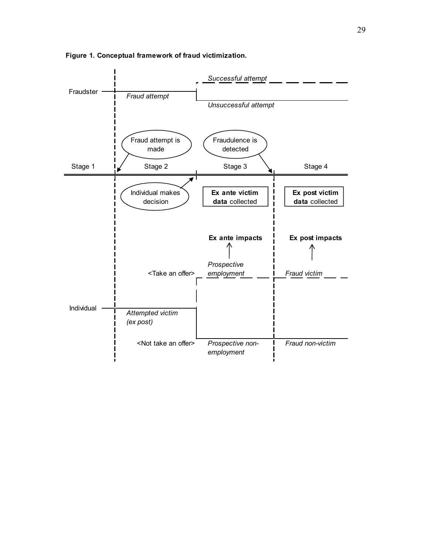

**Figure 1. Conceptual framework of fraud victimization.**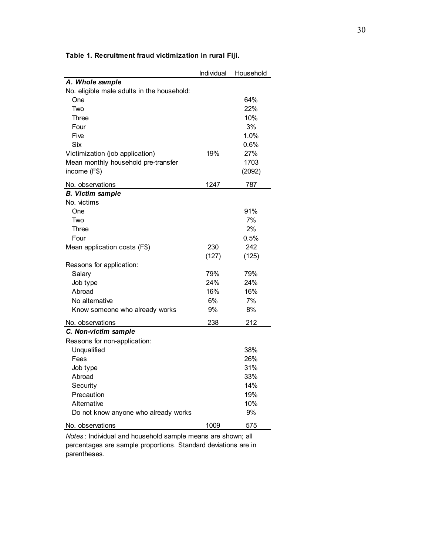|                                             | Individual | Household |
|---------------------------------------------|------------|-----------|
| A. Whole sample                             |            |           |
| No. eligible male adults in the household:  |            |           |
| One                                         |            | 64%       |
| Two                                         |            | 22%       |
| Three                                       |            | 10%       |
| Four                                        |            | 3%        |
| Five                                        |            | 1.0%      |
| Six                                         |            | 0.6%      |
| Victimization (job application)             | 19%        | 27%       |
| Mean monthly household pre-transfer         |            | 1703      |
| income (F\$)                                |            | (2092)    |
| No. observations                            | 1247       | 787       |
| <b>B.</b> Victim sample                     |            |           |
| No. victims                                 |            |           |
| One                                         |            | 91%       |
| Two                                         |            | 7%        |
| Three                                       |            | 2%        |
| Four                                        |            | 0.5%      |
| Mean application costs (F\$)                | 230        | 242       |
|                                             | (127)      | (125)     |
| Reasons for application:                    |            |           |
| Salary                                      | 79%        | 79%       |
| Job type                                    | 24%        | 24%       |
| Abroad                                      | 16%        | 16%       |
| No alternative                              | 6%         | 7%        |
| Know someone who already works              | 9%         | 8%        |
|                                             | 238        | 212       |
| No. observations<br>C. Non-victim sample    |            |           |
|                                             |            |           |
| Reasons for non-application:<br>Unqualified |            | 38%       |
|                                             |            | 26%       |
| Fees                                        |            |           |
| Job type                                    |            | 31%       |
| Abroad                                      |            | 33%       |
| Security                                    |            | 14%       |
| Precaution                                  |            | 19%       |
| Alternative                                 |            | 10%       |
| Do not know anyone who already works        |            | 9%        |
| No. observations                            | 1009       | 575       |

**Table 1. Recruitment fraud victimization in rural Fiji.**

*Notes* : Individual and household sample means are shown; all percentages are sample proportions. Standard deviations are in parentheses.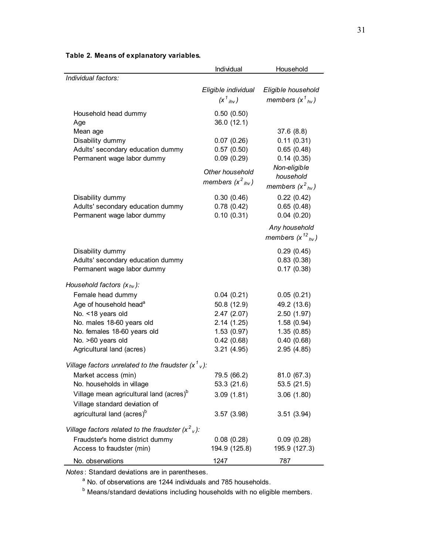|                                                      | Individual               | Household                |
|------------------------------------------------------|--------------------------|--------------------------|
| Individual factors:                                  |                          |                          |
|                                                      | Eligible individual      | Eligible household       |
|                                                      | $(x^1_{ihv})$            | members $(x^1_{hv})$     |
| Household head dummy                                 | 0.50(0.50)               |                          |
| Age                                                  | 36.0 (12.1)              |                          |
| Mean age                                             |                          | 37.6(8.8)                |
| Disability dummy                                     | 0.07(0.26)               | 0.11(0.31)               |
| Adults' secondary education dummy                    | 0.57(0.50)               | 0.65(0.48)               |
| Permanent wage labor dummy                           | 0.09(0.29)               | 0.14(0.35)               |
|                                                      | Other household          | Non-eligible             |
|                                                      | members $(x^2_{ihv})$    | household                |
|                                                      |                          | members $(x^2_{hv})$     |
| Disability dummy                                     | 0.30(0.46)               | 0.22(0.42)               |
| Adults' secondary education dummy                    | 0.78(0.42)               | 0.65(0.48)               |
| Permanent wage labor dummy                           | 0.10(0.31)               | 0.04(0.20)               |
|                                                      |                          | Any household            |
|                                                      |                          | members $(x^{12}_{hv})$  |
| Disability dummy                                     |                          | 0.29(0.45)               |
| Adults' secondary education dummy                    |                          | 0.83(0.38)               |
| Permanent wage labor dummy                           |                          | 0.17(0.38)               |
| Household factors $(x_{hv})$ :                       |                          |                          |
|                                                      |                          |                          |
| Female head dummy                                    | 0.04(0.21)               | 0.05(0.21)               |
| Age of household head <sup>a</sup>                   | 50.8 (12.9)              | 49.2 (13.6)              |
| No. < 18 years old<br>No. males 18-60 years old      | 2.47(2.07)<br>2.14(1.25) | 2.50(1.97)<br>1.58(0.94) |
| No. females 18-60 years old                          | 1.53(0.97)               | 1.35(0.85)               |
| No. >60 years old                                    | 0.42(0.68)               | 0.40(0.68)               |
| Agricultural land (acres)                            | 3.21(4.95)               | 2.95(4.85)               |
|                                                      |                          |                          |
| Village factors unrelated to the fraudster $(x^1)$ . |                          |                          |
| Market access (min)                                  | 79.5 (66.2)              | 81.0 (67.3)              |
| No. households in village                            | 53.3 (21.6)              | 53.5 (21.5)              |
| Village mean agricultural land (acres) <sup>b</sup>  | 3.09(1.81)               | 3.06(1.80)               |
| Village standard deviation of                        |                          |                          |
| agricultural land (acres) <sup>b</sup>               | 3.57(3.98)               | 3.51(3.94)               |
| Village factors related to the fraudster $(x^2)$ :   |                          |                          |
| Fraudster's home district dummy                      | 0.08(0.28)               | 0.09(0.28)               |
| Access to fraudster (min)                            | 194.9 (125.8)            | 195.9 (127.3)            |
| No. observations                                     | 1247                     | 787                      |

# **Table 2. Means of explanatory variables.**

*Notes* : Standard deviations are in parentheses.

<sup>a</sup> No. of observations are 1244 individuals and 785 households.

<sup>b</sup> Means/standard deviations including households with no eligible members.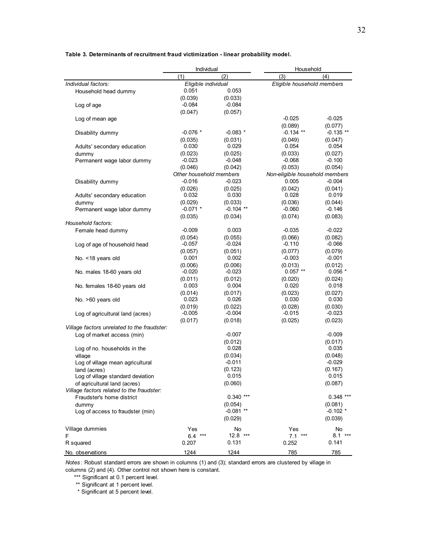|                                             | Individual              |                        | Household                      |                     |  |
|---------------------------------------------|-------------------------|------------------------|--------------------------------|---------------------|--|
|                                             | (1)                     | (2)                    | (3)                            | (4)                 |  |
| Individual factors:                         | Eligible individual     |                        | Eligible household members     |                     |  |
| Household head dummy                        | 0.051                   | 0.053                  |                                |                     |  |
|                                             | (0.039)                 | (0.033)                |                                |                     |  |
| Log of age                                  | $-0.084$                | $-0.084$               |                                |                     |  |
|                                             | (0.047)                 | (0.057)                |                                |                     |  |
| Log of mean age                             |                         |                        | $-0.025$                       | $-0.025$            |  |
|                                             |                         |                        | (0.089)                        | (0.077)             |  |
| Disability dummy                            | $-0.076$ *              | $-0.083$ *             | $-0.134$ **                    | $-0.135**$          |  |
|                                             | (0.035)                 | (0.031)                | (0.049)                        | (0.047)             |  |
| Adults' secondary education                 | 0.030                   | 0.029                  | 0.054                          | 0.054               |  |
| dummy                                       | (0.023)                 | (0.025)                | (0.033)                        | (0.027)             |  |
| Permanent wage labor dummy                  | $-0.023$                | $-0.048$               | $-0.068$                       | $-0.100$            |  |
|                                             | (0.046)                 | (0.042)                | (0.053)                        | (0.054)             |  |
|                                             | Other household members |                        | Non-eligible household members |                     |  |
| Disability dummy                            | $-0.016$                | $-0.023$               | 0.005                          | $-0.004$            |  |
|                                             | (0.026)                 | (0.025)                | (0.042)                        | (0.041)             |  |
| Adults' secondary education                 | 0.032                   | 0.030                  | 0.028                          | 0.019               |  |
| dummy                                       | (0.029)<br>$-0.071$ *   | (0.033)<br>$-0.104$ ** | (0.036)<br>$-0.060$            | (0.044)<br>$-0.146$ |  |
| Permanent wage labor dummy                  |                         |                        |                                |                     |  |
| Household factors:                          | (0.035)                 | (0.034)                | (0.074)                        | (0.083)             |  |
|                                             | $-0.009$                | 0.003                  | $-0.035$                       | $-0.022$            |  |
| Female head dummy                           |                         | (0.055)                | (0.066)                        | (0.082)             |  |
| Log of age of household head                | (0.054)<br>$-0.057$     | $-0.024$               | $-0.110$                       | $-0.066$            |  |
|                                             | (0.057)                 | (0.051)                | (0.077)                        | (0.079)             |  |
| No. <18 years old                           | 0.001                   | 0.002                  | $-0.003$                       | $-0.001$            |  |
|                                             | (0.006)                 | (0.006)                | (0.013)                        | (0.012)             |  |
| No. males 18-60 years old                   | $-0.020$                | $-0.023$               | $0.057$ **                     | $0.056*$            |  |
|                                             | (0.011)                 | (0.012)                | (0.020)                        | (0.024)             |  |
| No. females 18-60 years old                 | 0.003                   | 0.004                  | 0.020                          | 0.018               |  |
|                                             | (0.014)                 | (0.017)                | (0.023)                        | (0.027)             |  |
| No. >60 years old                           | 0.023                   | 0.026                  | 0.030                          | 0.030               |  |
|                                             | (0.019)                 | (0.022)                | (0.028)                        | (0.030)             |  |
| Log of agricultural land (acres)            | $-0.005$                | $-0.004$               | $-0.015$                       | $-0.023$            |  |
|                                             | (0.017)                 | (0.018)                | (0.025)                        | (0.023)             |  |
| Village factors unrelated to the fraudster: |                         |                        |                                |                     |  |
| Log of market access (min)                  |                         | $-0.007$               |                                | $-0.009$            |  |
|                                             |                         | (0.012)                |                                | (0.017)             |  |
| Log of no. households in the                |                         | 0.028                  |                                | 0.035               |  |
| village                                     |                         | (0.034)                |                                | (0.048)             |  |
| Log of village mean agricultural            |                         | $-0.011$               |                                | $-0.029$            |  |
| land (acres)                                |                         | (0.123)                |                                | (0.167)             |  |
| Log of village standard deviation           |                         | 0.015                  |                                | 0.015               |  |
| of agricultural land (acres)                |                         | (0.060)                |                                | (0.087)             |  |
| Village factors related to the fraudster:   |                         |                        |                                |                     |  |
| Fraudster's home district                   |                         | $0.340$ ***            |                                | $0.348$ ***         |  |
| dummy                                       |                         | (0.054)                |                                | (0.081)             |  |
| Log of access to fraudster (min)            |                         | $-0.081**$             |                                | $-0.102$ *          |  |
|                                             |                         | (0.029)                |                                | (0.039)             |  |
| Village dummies                             | Yes                     | No                     | Yes                            | No                  |  |
| F                                           | $6.4***$                | $12.8$ ***             | 7.1<br>$***$                   | $8.1***$            |  |
| R squared                                   | 0.207                   | 0.131                  | 0.252                          | 0.141               |  |
|                                             | 1244                    | 1244                   | 785                            | 785                 |  |
| No. observations                            |                         |                        |                                |                     |  |

#### **Table 3. Determinants of recruitment fraud victimization - linear probability model.**

*Notes* : Robust standard errors are shown in columns (1) and (3); standard errors are clustered by village in columns (2) and (4). Other control not shown here is constant.

\*\*\* Significant at 0.1 percent level.

\*\* Significant at 1 percent level.

\* Significant at 5 percent level.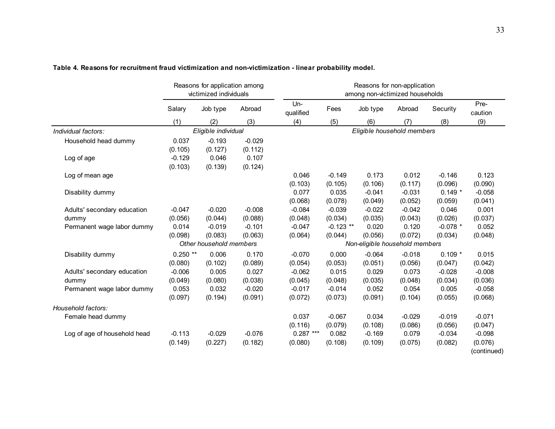|                              | Reasons for application among<br>victimized individuals |                     |          | Reasons for non-application<br>among non-victimized households |             |                                |          |            |                 |
|------------------------------|---------------------------------------------------------|---------------------|----------|----------------------------------------------------------------|-------------|--------------------------------|----------|------------|-----------------|
|                              | Salary                                                  | Job type            | Abroad   | $Un-$<br>qualified                                             | Fees        | Job type                       | Abroad   | Security   | Pre-<br>caution |
|                              | (1)                                                     | (2)                 | (3)      | (4)                                                            | (5)         | (6)                            | (7)      | (8)        | (9)             |
| Individual factors:          |                                                         | Eligible individual |          |                                                                |             | Eligible household members     |          |            |                 |
| Household head dummy         | 0.037                                                   | $-0.193$            | $-0.029$ |                                                                |             |                                |          |            |                 |
|                              | (0.105)                                                 | (0.127)             | (0.112)  |                                                                |             |                                |          |            |                 |
| Log of age                   | $-0.129$                                                | 0.046               | 0.107    |                                                                |             |                                |          |            |                 |
|                              | (0.103)                                                 | (0.139)             | (0.124)  |                                                                |             |                                |          |            |                 |
| Log of mean age              |                                                         |                     |          | 0.046                                                          | $-0.149$    | 0.173                          | 0.012    | $-0.146$   | 0.123           |
|                              |                                                         |                     |          | (0.103)                                                        | (0.105)     | (0.106)                        | (0.117)  | (0.096)    | (0.090)         |
| Disability dummy             |                                                         |                     |          | 0.077                                                          | 0.035       | $-0.041$                       | $-0.031$ | $0.149*$   | $-0.058$        |
|                              |                                                         |                     |          | (0.068)                                                        | (0.078)     | (0.049)                        | (0.052)  | (0.059)    | (0.041)         |
| Adults' secondary education  | $-0.047$                                                | $-0.020$            | $-0.008$ | $-0.084$                                                       | $-0.039$    | $-0.022$                       | $-0.042$ | 0.046      | 0.001           |
| dummy                        | (0.056)                                                 | (0.044)             | (0.088)  | (0.048)                                                        | (0.034)     | (0.035)                        | (0.043)  | (0.026)    | (0.037)         |
| Permanent wage labor dummy   | 0.014                                                   | $-0.019$            | $-0.101$ | $-0.047$                                                       | $-0.123$ ** | 0.020                          | 0.120    | $-0.078$ * | 0.052           |
|                              | (0.098)                                                 | (0.083)             | (0.063)  | (0.064)                                                        | (0.044)     | (0.056)                        | (0.072)  | (0.034)    | (0.048)         |
|                              | Other household members                                 |                     |          |                                                                |             | Non-eligible household members |          |            |                 |
| Disability dummy             | $0.250$ **                                              | 0.006               | 0.170    | $-0.070$                                                       | 0.000       | $-0.064$                       | $-0.018$ | $0.109*$   | 0.015           |
|                              | (0.080)                                                 | (0.102)             | (0.089)  | (0.054)                                                        | (0.053)     | (0.051)                        | (0.056)  | (0.047)    | (0.042)         |
| Adults' secondary education  | $-0.006$                                                | 0.005               | 0.027    | $-0.062$                                                       | 0.015       | 0.029                          | 0.073    | $-0.028$   | $-0.008$        |
| dummy                        | (0.049)                                                 | (0.080)             | (0.038)  | (0.045)                                                        | (0.048)     | (0.035)                        | (0.048)  | (0.034)    | (0.036)         |
| Permanent wage labor dummy   | 0.053                                                   | 0.032               | $-0.020$ | $-0.017$                                                       | $-0.014$    | 0.052                          | 0.054    | 0.005      | $-0.058$        |
|                              | (0.097)                                                 | (0.194)             | (0.091)  | (0.072)                                                        | (0.073)     | (0.091)                        | (0.104)  | (0.055)    | (0.068)         |
| Household factors:           |                                                         |                     |          |                                                                |             |                                |          |            |                 |
| Female head dummy            |                                                         |                     |          | 0.037                                                          | $-0.067$    | 0.034                          | $-0.029$ | $-0.019$   | $-0.071$        |
|                              |                                                         |                     |          | (0.116)                                                        | (0.079)     | (0.108)                        | (0.086)  | (0.056)    | (0.047)         |
| Log of age of household head | $-0.113$                                                | $-0.029$            | $-0.076$ | $0.287***$                                                     | 0.082       | $-0.169$                       | 0.079    | $-0.034$   | $-0.098$        |
|                              | (0.149)                                                 | (0.227)             | (0.182)  | (0.080)                                                        | (0.108)     | (0.109)                        | (0.075)  | (0.082)    | (0.076)         |
|                              |                                                         |                     |          |                                                                |             |                                |          |            | (continued)     |

#### **Table 4. Reasons for recruitment fraud victimization and non-victimization - linear probability model.**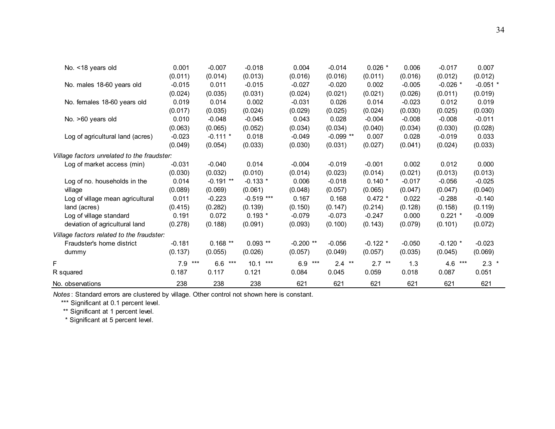| No. < 18 years old                          | 0.001      | $-0.007$   | $-0.018$     | 0.004      | $-0.014$    | $0.026$ *  | 0.006    | $-0.017$   | 0.007      |
|---------------------------------------------|------------|------------|--------------|------------|-------------|------------|----------|------------|------------|
|                                             | (0.011)    | (0.014)    | (0.013)      | (0.016)    | (0.016)     | (0.011)    | (0.016)  | (0.012)    | (0.012)    |
| No. males 18-60 years old                   | $-0.015$   | 0.011      | $-0.015$     | $-0.027$   | $-0.020$    | 0.002      | $-0.005$ | $-0.026$ * | $-0.051$ * |
|                                             | (0.024)    | (0.035)    | (0.031)      | (0.024)    | (0.021)     | (0.021)    | (0.026)  | (0.011)    | (0.019)    |
| No. females 18-60 years old                 | 0.019      | 0.014      | 0.002        | $-0.031$   | 0.026       | 0.014      | $-0.023$ | 0.012      | 0.019      |
|                                             | (0.017)    | (0.035)    | (0.024)      | (0.029)    | (0.025)     | (0.024)    | (0.030)  | (0.025)    | (0.030)    |
| No. >60 years old                           | 0.010      | $-0.048$   | $-0.045$     | 0.043      | 0.028       | $-0.004$   | $-0.008$ | $-0.008$   | $-0.011$   |
|                                             | (0.063)    | (0.065)    | (0.052)      | (0.034)    | (0.034)     | (0.040)    | (0.034)  | (0.030)    | (0.028)    |
| Log of agricultural land (acres)            | $-0.023$   | $-0.111$ * | 0.018        | $-0.049$   | $-0.099$ ** | 0.007      | 0.028    | $-0.019$   | 0.033      |
|                                             | (0.049)    | (0.054)    | (0.033)      | (0.030)    | (0.031)     | (0.027)    | (0.041)  | (0.024)    | (0.033)    |
| Village factors unrelated to the fraudster: |            |            |              |            |             |            |          |            |            |
| Log of market access (min)                  | $-0.031$   | $-0.040$   | 0.014        | $-0.004$   | $-0.019$    | $-0.001$   | 0.002    | 0.012      | 0.000      |
|                                             | (0.030)    | (0.032)    | (0.010)      | (0.014)    | (0.023)     | (0.014)    | (0.021)  | (0.013)    | (0.013)    |
| Log of no. households in the                | 0.014      | $-0.191**$ | $-0.133$ *   | 0.006      | $-0.018$    | $0.140*$   | $-0.017$ | $-0.056$   | $-0.025$   |
| village                                     | (0.089)    | (0.069)    | (0.061)      | (0.048)    | (0.057)     | (0.065)    | (0.047)  | (0.047)    | (0.040)    |
| Log of village mean agricultural            | 0.011      | $-0.223$   | $-0.519$ *** | 0.167      | 0.168       | $0.472 *$  | 0.022    | $-0.288$   | $-0.140$   |
| land (acres)                                | (0.415)    | (0.282)    | (0.139)      | (0.150)    | (0.147)     | (0.214)    | (0.128)  | (0.158)    | (0.119)    |
| Log of village standard                     | 0.191      | 0.072      | $0.193*$     | $-0.079$   | $-0.073$    | $-0.247$   | 0.000    | $0.221$ *  | $-0.009$   |
| deviation of agricultural land              | (0.278)    | (0.188)    | (0.091)      | (0.093)    | (0.100)     | (0.143)    | (0.079)  | (0.101)    | (0.072)    |
| Village factors related to the fraudster:   |            |            |              |            |             |            |          |            |            |
| Fraudster's home district                   | $-0.181$   | $0.168**$  | $0.093$ **   | $-0.200**$ | $-0.056$    | $-0.122$ * | $-0.050$ | $-0.120$ * | $-0.023$   |
| dummy                                       | (0.137)    | (0.055)    | (0.026)      | (0.057)    | (0.049)     | (0.057)    | (0.035)  | (0.045)    | (0.069)    |
| F                                           | 7.9<br>*** | 6.6<br>*** | $10.1***$    | $6.9***$   | $2.4$ **    | $2.7$ **   | 1.3      | $4.6***$   | $2.3$ *    |
| R squared                                   | 0.187      | 0.117      | 0.121        | 0.084      | 0.045       | 0.059      | 0.018    | 0.087      | 0.051      |
| No. observations                            | 238        | 238        | 238          | 621        | 621         | 621        | 621      | 621        | 621        |

*Notes* : Standard errors are clustered by village. Other control not shown here is constant.

\*\*\* Significant at 0.1 percent level.

\*\* Significant at 1 percent level.

\* Significant at 5 percent level.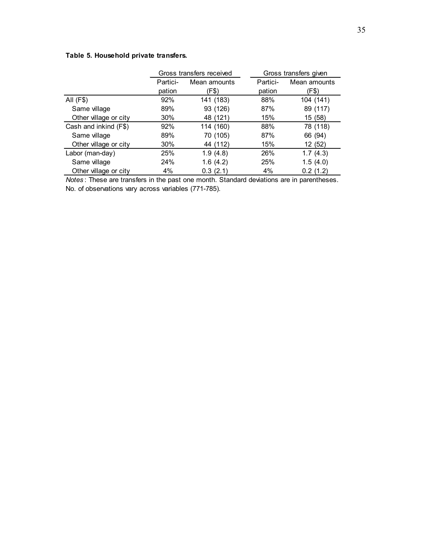# **Table 5. Household private transfers.**

|                       |          | Gross transfers received |          | Gross transfers given |
|-----------------------|----------|--------------------------|----------|-----------------------|
|                       | Partici- | Mean amounts             | Partici- | Mean amounts          |
|                       | pation   | (F\$)                    | pation   | (F\$)                 |
| All (F\$)             | 92%      | 141 (183)                | 88%      | 104 (141)             |
| Same village          | 89%      | 93 (126)                 | 87%      | 89 (117)              |
| Other village or city | 30%      | 48 (121)                 | 15%      | 15 (58)               |
| Cash and inkind (F\$) | 92%      | 114 (160)                | 88%      | 78 (118)              |
| Same village          | 89%      | 70 (105)                 | 87%      | 66 (94)               |
| Other village or city | $30\%$   | 44 (112)                 | 15%      | 12 (52)               |
| Labor (man-day)       | 25%      | 1.9(4.8)                 | 26%      | 1.7(4.3)              |
| Same village          | 24%      | 1.6(4.2)                 | 25%      | 1.5(4.0)              |
| Other village or city | 4%       | 0.3(2.1)                 | 4%       | 0.2(1.2)              |

*Notes* : These are transfers in the past one month. Standard deviations are in parentheses. No. of observations vary across variables (771-785).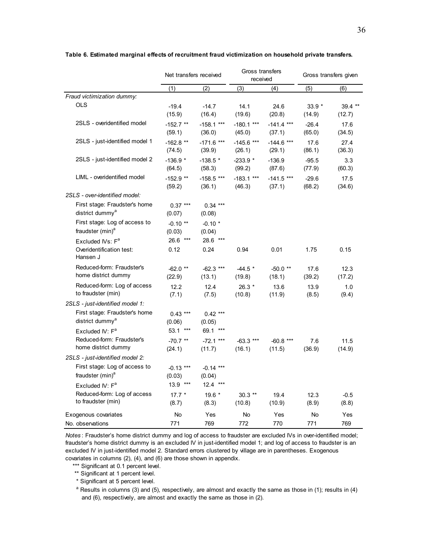|                                                                      | Net transfers received |                        | Gross transfers<br>received |                        | Gross transfers given |                   |
|----------------------------------------------------------------------|------------------------|------------------------|-----------------------------|------------------------|-----------------------|-------------------|
|                                                                      | (1)                    | (2)                    | (3)                         | (4)                    | (5)                   | (6)               |
| Fraud victimization dummy:                                           |                        |                        |                             |                        |                       |                   |
| <b>OLS</b>                                                           | $-19.4$<br>(15.9)      | $-14.7$<br>(16.4)      | 14.1<br>(19.6)              | 24.6<br>(20.8)         | $33.9*$<br>(14.9)     | 39.4 **<br>(12.7) |
| 2SLS - overidentified model                                          | $-152.7$ **<br>(59.1)  | $-158.1$ ***<br>(36.0) | $-180.1$ ***<br>(45.0)      | $-141.4$ ***<br>(37.1) | $-26.4$<br>(65.0)     | 17.6<br>(34.5)    |
| 2SLS - just-identified model 1                                       | $-162.8$ **<br>(74.5)  | $-171.6$ ***<br>(39.9) | $-145.6$ ***<br>(26.1)      | $-144.6$ ***<br>(29.1) | 17.6<br>(86.1)        | 27.4<br>(36.3)    |
| 2SLS - just-identified model 2                                       | $-136.9*$<br>(64.5)    | $-138.5*$<br>(58.3)    | $-233.9*$<br>(99.2)         | $-136.9$<br>(87.6)     | $-95.5$<br>(77.9)     | 3.3<br>(60.3)     |
| LIML - overidentified model                                          | $-152.9$ **<br>(59.2)  | $-158.5$ ***<br>(36.1) | $-183.1$ ***<br>(46.3)      | $-141.5$ ***<br>(37.1) | $-29.6$<br>(68.2)     | 17.5<br>(34.6)    |
| 2SLS - over-identified model:                                        |                        |                        |                             |                        |                       |                   |
| First stage: Fraudster's home<br>district dummy <sup>a</sup>         | $0.37***$<br>(0.07)    | $0.34***$<br>(0.08)    |                             |                        |                       |                   |
| First stage: Log of access to<br>fraudster (min) <sup>a</sup>        | $-0.10$ **<br>(0.03)   | $-0.10*$<br>(0.04)     |                             |                        |                       |                   |
| Excluded IVs: F <sup>a</sup><br>Overidentification test:<br>Hansen J | 26.6 ***<br>0.12       | 28.6 ***<br>0.24       | 0.94                        | 0.01                   | 1.75                  | 0.15              |
| Reduced-form: Fraudster's<br>home district dummy                     | $-62.0$ **<br>(22.9)   | $-62.3$ ***<br>(13.1)  | $-44.5$ *<br>(19.8)         | $-50.0$ **<br>(18.1)   | 17.6<br>(39.2)        | 12.3<br>(17.2)    |
| Reduced-form: Log of access<br>to fraudster (min)                    | 12.2<br>(7.1)          | 12.4<br>(7.5)          | $26.3*$<br>(10.8)           | 13.6<br>(11.9)         | 13.9<br>(8.5)         | 1.0<br>(9.4)      |
| 2SLS - just-identified model 1:                                      |                        |                        |                             |                        |                       |                   |
| First stage: Fraudster's home<br>district dummy <sup>a</sup>         | $0.43$ ***<br>(0.06)   | $0.42***$<br>(0.05)    |                             |                        |                       |                   |
| Excluded IV: $F^a$                                                   | 53.1<br>$***$          | 69.1 ***               |                             |                        |                       |                   |
| Reduced-form: Fraudster's<br>home district dummy                     | $-70.7$ **<br>(24.1)   | $-72.1***$<br>(11.7)   | $-63.3$ ***<br>(16.1)       | $-60.8$ ***<br>(11.5)  | 7.6<br>(36.9)         | 11.5<br>(14.9)    |
| 2SLS - just-identified model 2:                                      |                        |                        |                             |                        |                       |                   |
| First stage: Log of access to<br>fraudster (min) <sup>a</sup>        | $-0.13$ ***<br>(0.03)  | $-0.14$ ***<br>(0.04)  |                             |                        |                       |                   |
| Excluded IV: F <sup>a</sup>                                          | $13.9$ ***             | $12.4***$              |                             |                        |                       |                   |
| Reduced-form: Log of access<br>to fraudster (min)                    | $17.7*$<br>(8.7)       | $19.6*$<br>(8.3)       | $30.3$ **<br>(10.8)         | 19.4<br>(10.9)         | 12.3<br>(8.9)         | $-0.5$<br>(8.8)   |
| Exogenous covariates                                                 | No                     | Yes                    | No                          | Yes                    | No                    | Yes               |
| No. observations                                                     | 771                    | 769                    | 772                         | 770                    | 771                   | 769               |

#### **Table 6. Estimated marginal effects of recruitment fraud victimization on household private transfers.**

*Notes* : Fraudster's home district dummy and log of access to fraudster are excluded IVs in over-identified model; fraudster's home district dummy is an excluded IV in just-identified model 1; and log of access to fraudster is an excluded IV in just-identified model 2. Standard errors clustered by village are in parentheses. Exogenous covariates in columns (2), (4), and (6) are those shown in appendix.

\*\*\* Significant at 0.1 percent level.

\*\* Significant at 1 percent level.

\* Significant at 5 percent level.

 $a$  Results in columns (3) and (5), respectively, are almost and exactly the same as those in (1); results in (4) and (6), respectively, are almost and exactly the same as those in (2).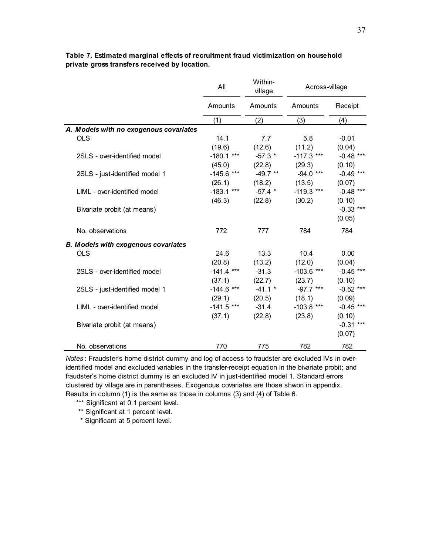|                                            | All          | Within-<br>village | Across-village |             |  |
|--------------------------------------------|--------------|--------------------|----------------|-------------|--|
|                                            | Amounts      | Amounts            | Amounts        | Receipt     |  |
|                                            | (1)          | (2)                | (3)            | (4)         |  |
| A. Models with no exogenous covariates     |              |                    |                |             |  |
| <b>OLS</b>                                 | 14.1         | 7.7                | 5.8            | $-0.01$     |  |
|                                            | (19.6)       | (12.6)             | (11.2)         | (0.04)      |  |
| 2SLS - over-identified model               | $-180.1$ *** | $-57.3$ *          | $-117.3$ ***   | $-0.48$ *** |  |
|                                            | (45.0)       | $(22.8)$ $(29.3)$  |                | (0.10)      |  |
| 2SLS - just-identified model 1             | $-145.6$ *** | $-49.7$ **         | $-94.0***$     | $-0.49$ *** |  |
|                                            | (26.1)       | (18.2)             | (13.5)         | (0.07)      |  |
| LIML - over-identified model               | $-183.1$ *** | $-57.4$ *          | $-119.3$ ***   | $-0.48$ *** |  |
|                                            | (46.3)       | (22.8)             | (30.2)         | (0.10)      |  |
| Bivariate probit (at means)                |              |                    |                | $-0.33$ *** |  |
|                                            |              |                    |                | (0.05)      |  |
| No. observations                           | 772          | 777                | 784            | 784         |  |
| <b>B. Models with exogenous covariates</b> |              |                    |                |             |  |
| <b>OLS</b>                                 | 24.6         | 13.3               | 10.4           | 0.00        |  |
|                                            | (20.8)       | (13.2)             | (12.0)         | (0.04)      |  |
| 2SLS - over-identified model               | $-141.4$ *** | $-31.3$            | $-103.6$ ***   | $-0.45$ *** |  |
|                                            | (37.1)       | (22.7)             | (23.7)         | (0.10)      |  |
| 2SLS - just-identified model 1             | $-144.6$ *** | $-41.1$ *          | $-97.7$ ***    | $-0.52$ *** |  |
|                                            | (29.1)       | (20.5)             | (18.1)         | (0.09)      |  |
| LIML - over-identified model               | $-141.5$ *** | $-31.4$            | $-103.8$ ***   | $-0.45$ *** |  |
|                                            | (37.1)       | (22.8)             | (23.8)         | (0.10)      |  |
| Bivariate probit (at means)                |              |                    |                | $-0.31$ *** |  |
|                                            |              |                    |                | (0.07)      |  |
| No. observations                           | 770          | 775                | 782            | 782         |  |

#### **Table 7. Estimated marginal effects of recruitment fraud victimization on household private gross transfers received by location.**

*Notes* : Fraudster's home district dummy and log of access to fraudster are excluded IVs in overidentified model and excluded variables in the transfer-receipt equation in the bivariate probit; and fraudster's home district dummy is an excluded IV in just-identified model 1. Standard errors clustered by village are in parentheses. Exogenous covariates are those shwon in appendix. Results in column (1) is the same as those in columns (3) and (4) of Table 6.

\*\*\* Significant at 0.1 percent level.

\*\* Significant at 1 percent level.

\* Significant at 5 percent level.